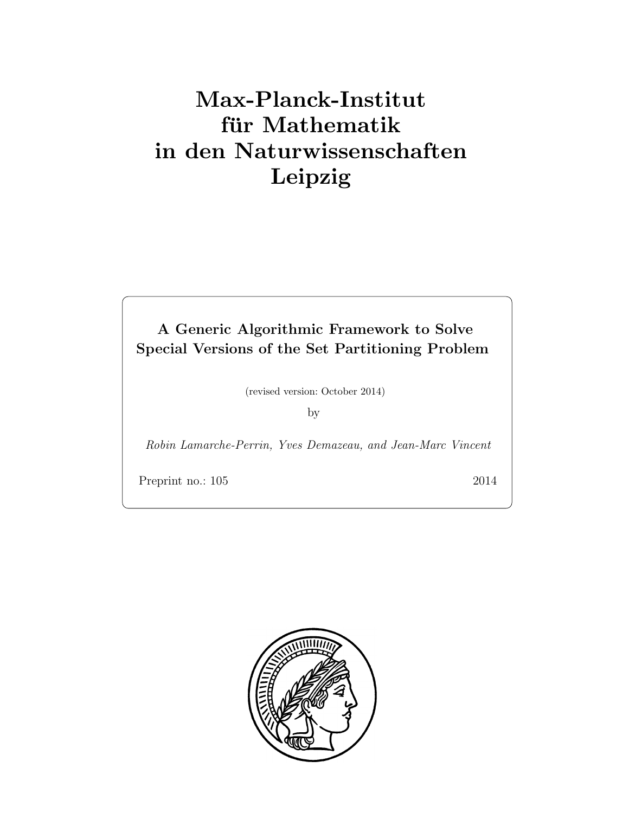# Max-Planck-Institut für Mathematik in den Naturwissenschaften Leipzig

A Generic Algorithmic Framework to Solve Special Versions of the Set Partitioning Problem

(revised version: October 2014)

by

Robin Lamarche-Perrin, Yves Demazeau, and Jean-Marc Vincent

Preprint no.: 105 2014

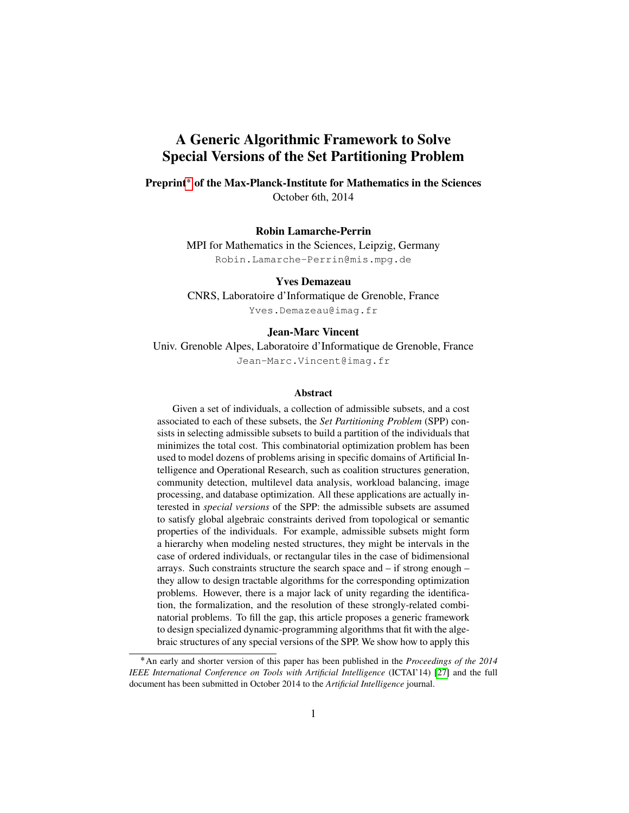## A Generic Algorithmic Framework to Solve Special Versions of the Set Partitioning Problem

Preprint<sup>\*</sup> of the Max-Planck-Institute for Mathematics in the Sciences October 6th, 2014

#### Robin Lamarche-Perrin

MPI for Mathematics in the Sciences, Leipzig, Germany Robin.Lamarche-Perrin@mis.mpg.de

Yves Demazeau CNRS, Laboratoire d'Informatique de Grenoble, France Yves.Demazeau@imag.fr

#### Jean-Marc Vincent

Univ. Grenoble Alpes, Laboratoire d'Informatique de Grenoble, France Jean-Marc.Vincent@imag.fr

#### Abstract

Given a set of individuals, a collection of admissible subsets, and a cost associated to each of these subsets, the *Set Partitioning Problem* (SPP) consists in selecting admissible subsets to build a partition of the individuals that minimizes the total cost. This combinatorial optimization problem has been used to model dozens of problems arising in specific domains of Artificial Intelligence and Operational Research, such as coalition structures generation, community detection, multilevel data analysis, workload balancing, image processing, and database optimization. All these applications are actually interested in *special versions* of the SPP: the admissible subsets are assumed to satisfy global algebraic constraints derived from topological or semantic properties of the individuals. For example, admissible subsets might form a hierarchy when modeling nested structures, they might be intervals in the case of ordered individuals, or rectangular tiles in the case of bidimensional arrays. Such constraints structure the search space and – if strong enough – they allow to design tractable algorithms for the corresponding optimization problems. However, there is a major lack of unity regarding the identification, the formalization, and the resolution of these strongly-related combinatorial problems. To fill the gap, this article proposes a generic framework to design specialized dynamic-programming algorithms that fit with the algebraic structures of any special versions of the SPP. We show how to apply this

<span id="page-2-0"></span>An early and shorter version of this paper has been published in the *Proceedings of the 2014 IEEE International Conference on Tools with Artificial Intelligence* (ICTAI'14) [\[27\]](#page-39-0) and the full document has been submitted in October 2014 to the *Artificial Intelligence* journal.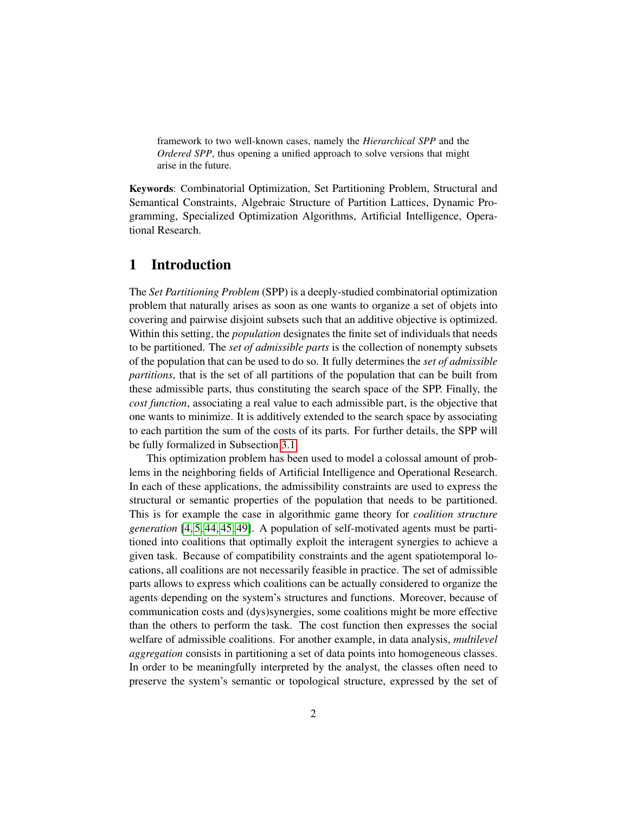framework to two well-known cases, namely the *Hierarchical SPP* and the *Ordered SPP*, thus opening a unified approach to solve versions that might arise in the future.

Keywords: Combinatorial Optimization, Set Partitioning Problem, Structural and Semantical Constraints, Algebraic Structure of Partition Lattices, Dynamic Programming, Specialized Optimization Algorithms, Artificial Intelligence, Operational Research.

## 1 Introduction

The *Set Partitioning Problem* (SPP) is a deeply-studied combinatorial optimization problem that naturally arises as soon as one wants to organize a set of objets into covering and pairwise disjoint subsets such that an additive objective is optimized. Within this setting, the *population* designates the finite set of individuals that needs to be partitioned. The *set of admissible parts* is the collection of nonempty subsets of the population that can be used to do so. It fully determines the *set of admissible partitions*, that is the set of all partitions of the population that can be built from these admissible parts, thus constituting the search space of the SPP. Finally, the *cost function*, associating a real value to each admissible part, is the objective that one wants to minimize. It is additively extended to the search space by associating to each partition the sum of the costs of its parts. For further details, the SPP will be fully formalized in Subsection [3.1.](#page-10-0)

This optimization problem has been used to model a colossal amount of problems in the neighboring fields of Artificial Intelligence and Operational Research. In each of these applications, the admissibility constraints are used to express the structural or semantic properties of the population that needs to be partitioned. This is for example the case in algorithmic game theory for *coalition structure generation* [\[4,](#page-37-0) [5,](#page-37-1) [44,](#page-41-0) [45,](#page-41-1) [49\]](#page-41-2). A population of self-motivated agents must be partitioned into coalitions that optimally exploit the interagent synergies to achieve a given task. Because of compatibility constraints and the agent spatiotemporal locations, all coalitions are not necessarily feasible in practice. The set of admissible parts allows to express which coalitions can be actually considered to organize the agents depending on the system's structures and functions. Moreover, because of communication costs and (dys)synergies, some coalitions might be more effective than the others to perform the task. The cost function then expresses the social welfare of admissible coalitions. For another example, in data analysis, *multilevel aggregation* consists in partitioning a set of data points into homogeneous classes. In order to be meaningfully interpreted by the analyst, the classes often need to preserve the system's semantic or topological structure, expressed by the set of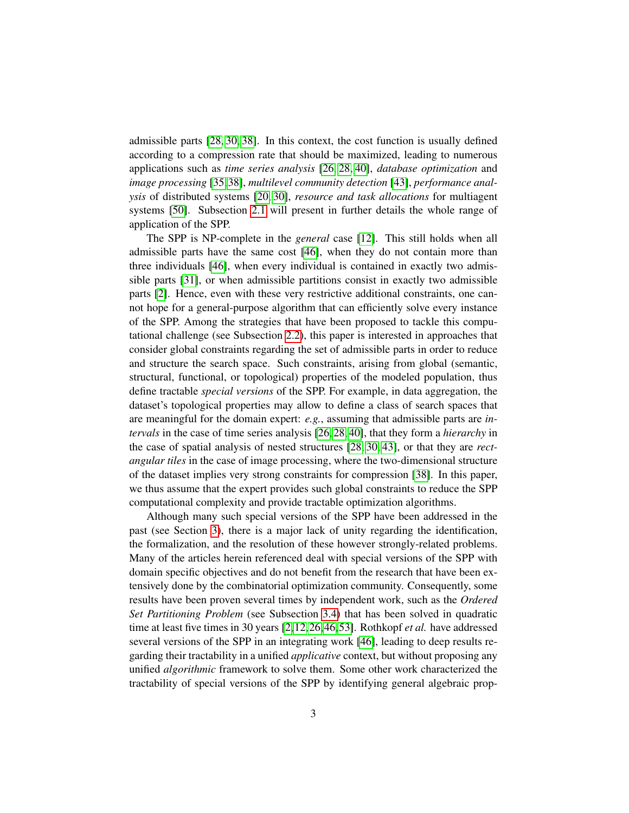admissible parts [\[28,](#page-39-1) [30,](#page-40-0) [38\]](#page-40-1). In this context, the cost function is usually defined according to a compression rate that should be maximized, leading to numerous applications such as *time series analysis* [\[26,](#page-39-2) [28,](#page-39-1) [40\]](#page-41-3), *database optimization* and *image processing* [\[35,](#page-40-2)[38\]](#page-40-1), *multilevel community detection* [\[43\]](#page-41-4), *performance analysis* of distributed systems [\[20,](#page-39-3) [30\]](#page-40-0), *resource and task allocations* for multiagent systems [\[50\]](#page-41-5). Subsection [2.1](#page-6-0) will present in further details the whole range of application of the SPP.

The SPP is NP-complete in the *general* case [\[12\]](#page-38-0). This still holds when all admissible parts have the same cost [\[46\]](#page-41-6), when they do not contain more than three individuals [\[46\]](#page-41-6), when every individual is contained in exactly two admissible parts [\[31\]](#page-40-3), or when admissible partitions consist in exactly two admissible parts [\[2\]](#page-37-2). Hence, even with these very restrictive additional constraints, one cannot hope for a general-purpose algorithm that can efficiently solve every instance of the SPP. Among the strategies that have been proposed to tackle this computational challenge (see Subsection [2.2\)](#page-8-0), this paper is interested in approaches that consider global constraints regarding the set of admissible parts in order to reduce and structure the search space. Such constraints, arising from global (semantic, structural, functional, or topological) properties of the modeled population, thus define tractable *special versions* of the SPP. For example, in data aggregation, the dataset's topological properties may allow to define a class of search spaces that are meaningful for the domain expert: *e.g.*, assuming that admissible parts are *intervals* in the case of time series analysis [\[26,](#page-39-2) [28,](#page-39-1) [40\]](#page-41-3), that they form a *hierarchy* in the case of spatial analysis of nested structures [\[28,](#page-39-1) [30,](#page-40-0) [43\]](#page-41-4), or that they are *rectangular tiles* in the case of image processing, where the two-dimensional structure of the dataset implies very strong constraints for compression [\[38\]](#page-40-1). In this paper, we thus assume that the expert provides such global constraints to reduce the SPP computational complexity and provide tractable optimization algorithms.

Although many such special versions of the SPP have been addressed in the past (see Section [3\)](#page-10-1), there is a major lack of unity regarding the identification, the formalization, and the resolution of these however strongly-related problems. Many of the articles herein referenced deal with special versions of the SPP with domain specific objectives and do not benefit from the research that have been extensively done by the combinatorial optimization community. Consequently, some results have been proven several times by independent work, such as the *Ordered Set Partitioning Problem* (see Subsection [3.4\)](#page-14-0) that has been solved in quadratic time at least five times in 30 years [\[2,](#page-37-2)[12,](#page-38-0)[26,](#page-39-2)[46,](#page-41-6)[53\]](#page-42-0). Rothkopf *et al.* have addressed several versions of the SPP in an integrating work [\[46\]](#page-41-6), leading to deep results regarding their tractability in a unified *applicative* context, but without proposing any unified *algorithmic* framework to solve them. Some other work characterized the tractability of special versions of the SPP by identifying general algebraic prop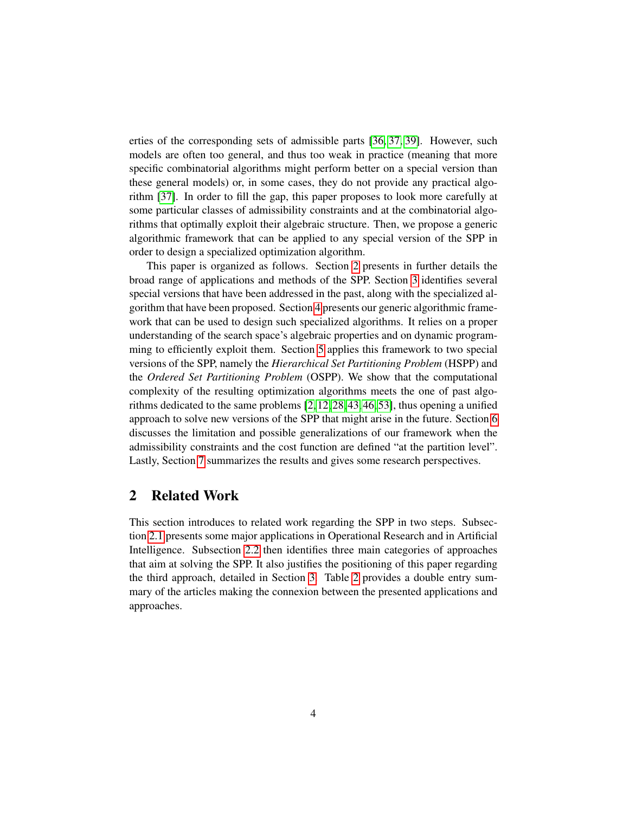erties of the corresponding sets of admissible parts [\[36,](#page-40-4) [37,](#page-40-5) [39\]](#page-40-6). However, such models are often too general, and thus too weak in practice (meaning that more specific combinatorial algorithms might perform better on a special version than these general models) or, in some cases, they do not provide any practical algorithm [\[37\]](#page-40-5). In order to fill the gap, this paper proposes to look more carefully at some particular classes of admissibility constraints and at the combinatorial algorithms that optimally exploit their algebraic structure. Then, we propose a generic algorithmic framework that can be applied to any special version of the SPP in order to design a specialized optimization algorithm.

This paper is organized as follows. Section [2](#page-5-0) presents in further details the broad range of applications and methods of the SPP. Section [3](#page-10-1) identifies several special versions that have been addressed in the past, along with the specialized algorithm that have been proposed. Section [4](#page-19-0) presents our generic algorithmic framework that can be used to design such specialized algorithms. It relies on a proper understanding of the search space's algebraic properties and on dynamic programming to efficiently exploit them. Section [5](#page-26-0) applies this framework to two special versions of the SPP, namely the *Hierarchical Set Partitioning Problem* (HSPP) and the *Ordered Set Partitioning Problem* (OSPP). We show that the computational complexity of the resulting optimization algorithms meets the one of past algorithms dedicated to the same problems [\[2,](#page-37-2) [12,](#page-38-0) [28,](#page-39-1) [43,](#page-41-4) [46,](#page-41-6) [53\]](#page-42-0), thus opening a unified approach to solve new versions of the SPP that might arise in the future. Section [6](#page-31-0) discusses the limitation and possible generalizations of our framework when the admissibility constraints and the cost function are defined "at the partition level". Lastly, Section [7](#page-34-0) summarizes the results and gives some research perspectives.

## <span id="page-5-0"></span>2 Related Work

This section introduces to related work regarding the SPP in two steps. Subsection [2.1](#page-6-0) presents some major applications in Operational Research and in Artificial Intelligence. Subsection [2.2](#page-8-0) then identifies three main categories of approaches that aim at solving the SPP. It also justifies the positioning of this paper regarding the third approach, detailed in Section [3.](#page-10-1) Table [2](#page-18-0) provides a double entry summary of the articles making the connexion between the presented applications and approaches.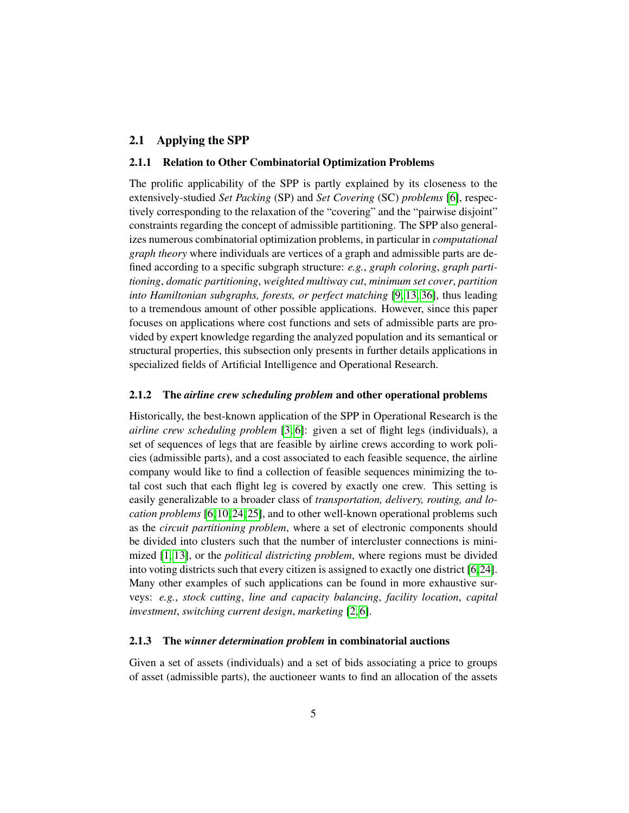#### <span id="page-6-2"></span><span id="page-6-1"></span><span id="page-6-0"></span>2.1 Applying the SPP

#### 2.1.1 Relation to Other Combinatorial Optimization Problems

The prolific applicability of the SPP is partly explained by its closeness to the extensively-studied *Set Packing* (SP) and *Set Covering* (SC) *problems* [\[6\]](#page-37-3), respectively corresponding to the relaxation of the "covering" and the "pairwise disjoint" constraints regarding the concept of admissible partitioning. The SPP also generalizes numerous combinatorial optimization problems, in particular in *computational graph theory* where individuals are vertices of a graph and admissible parts are defined according to a specific subgraph structure: *e.g.*, *graph coloring*, *graph partitioning*, *domatic partitioning*, *weighted multiway cut*, *minimum set cover*, *partition into Hamiltonian subgraphs, forests, or perfect matching* [\[9,](#page-38-1) [13,](#page-38-2) [36\]](#page-40-4), thus leading to a tremendous amount of other possible applications. However, since this paper focuses on applications where cost functions and sets of admissible parts are provided by expert knowledge regarding the analyzed population and its semantical or structural properties, this subsection only presents in further details applications in specialized fields of Artificial Intelligence and Operational Research.

#### 2.1.2 The *airline crew scheduling problem* and other operational problems

Historically, the best-known application of the SPP in Operational Research is the *airline crew scheduling problem* [\[3,](#page-37-4) [6\]](#page-37-3): given a set of flight legs (individuals), a set of sequences of legs that are feasible by airline crews according to work policies (admissible parts), and a cost associated to each feasible sequence, the airline company would like to find a collection of feasible sequences minimizing the total cost such that each flight leg is covered by exactly one crew. This setting is easily generalizable to a broader class of *transportation, delivery, routing, and location problems* [\[6,](#page-37-3) [10,](#page-38-3) [24,](#page-39-4) [25\]](#page-39-5), and to other well-known operational problems such as the *circuit partitioning problem*, where a set of electronic components should be divided into clusters such that the number of intercluster connections is minimized [\[1,](#page-37-5) [13\]](#page-38-2), or the *political districting problem*, where regions must be divided into voting districts such that every citizen is assigned to exactly one district [\[6,](#page-37-3)[24\]](#page-39-4). Many other examples of such applications can be found in more exhaustive surveys: *e.g.*, *stock cutting*, *line and capacity balancing*, *facility location*, *capital investment*, *switching current design*, *marketing* [\[2,](#page-37-2) [6\]](#page-37-3).

#### 2.1.3 The *winner determination problem* in combinatorial auctions

Given a set of assets (individuals) and a set of bids associating a price to groups of asset (admissible parts), the auctioneer wants to find an allocation of the assets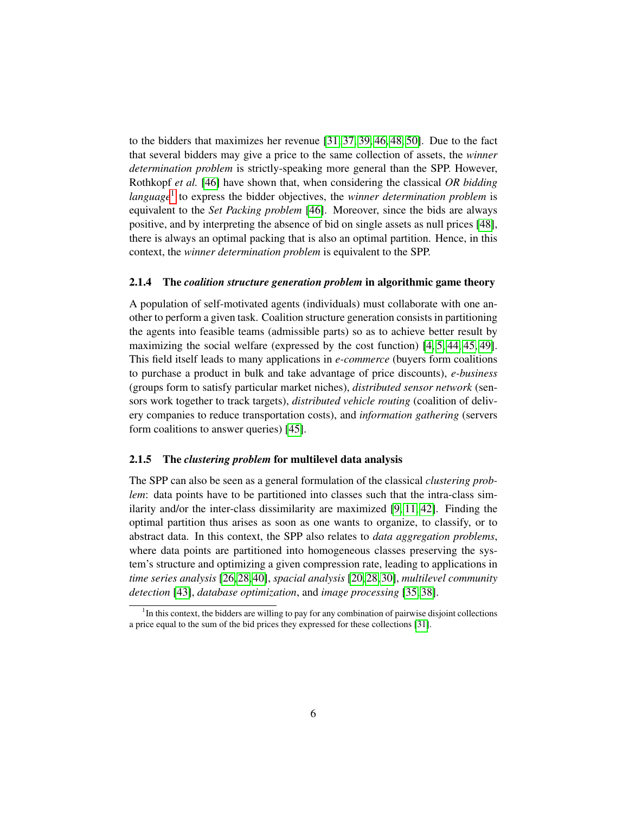<span id="page-7-2"></span><span id="page-7-1"></span>to the bidders that maximizes her revenue [\[31,](#page-40-3) [37,](#page-40-5) [39,](#page-40-6) [46,](#page-41-6) [48,](#page-41-7) [50\]](#page-41-5). Due to the fact that several bidders may give a price to the same collection of assets, the *winner determination problem* is strictly-speaking more general than the SPP. However, Rothkopf *et al.* [\[46\]](#page-41-6) have shown that, when considering the classical *OR bidding* language<sup>[1](#page-7-0)</sup> to express the bidder objectives, the *winner determination problem* is equivalent to the *Set Packing problem* [\[46\]](#page-41-6). Moreover, since the bids are always positive, and by interpreting the absence of bid on single assets as null prices [\[48\]](#page-41-7), there is always an optimal packing that is also an optimal partition. Hence, in this context, the *winner determination problem* is equivalent to the SPP.

#### 2.1.4 The *coalition structure generation problem* in algorithmic game theory

A population of self-motivated agents (individuals) must collaborate with one another to perform a given task. Coalition structure generation consists in partitioning the agents into feasible teams (admissible parts) so as to achieve better result by maximizing the social welfare (expressed by the cost function) [\[4,](#page-37-0) [5,](#page-37-1) [44,](#page-41-0) [45,](#page-41-1) [49\]](#page-41-2). This field itself leads to many applications in *e-commerce* (buyers form coalitions to purchase a product in bulk and take advantage of price discounts), *e-business* (groups form to satisfy particular market niches), *distributed sensor network* (sensors work together to track targets), *distributed vehicle routing* (coalition of delivery companies to reduce transportation costs), and *information gathering* (servers form coalitions to answer queries) [\[45\]](#page-41-1).

#### 2.1.5 The *clustering problem* for multilevel data analysis

The SPP can also be seen as a general formulation of the classical *clustering problem*: data points have to be partitioned into classes such that the intra-class similarity and/or the inter-class dissimilarity are maximized [\[9,](#page-38-1) [11,](#page-38-4) [42\]](#page-41-8). Finding the optimal partition thus arises as soon as one wants to organize, to classify, or to abstract data. In this context, the SPP also relates to *data aggregation problems*, where data points are partitioned into homogeneous classes preserving the system's structure and optimizing a given compression rate, leading to applications in *time series analysis* [\[26,](#page-39-2)[28,](#page-39-1)[40\]](#page-41-3), *spacial analysis* [\[20,](#page-39-3)[28,](#page-39-1)[30\]](#page-40-0), *multilevel community detection* [\[43\]](#page-41-4), *database optimization*, and *image processing* [\[35,](#page-40-2) [38\]](#page-40-1).

<span id="page-7-0"></span><sup>&</sup>lt;sup>1</sup>In this context, the bidders are willing to pay for any combination of pairwise disjoint collections a price equal to the sum of the bid prices they expressed for these collections [\[31\]](#page-40-3).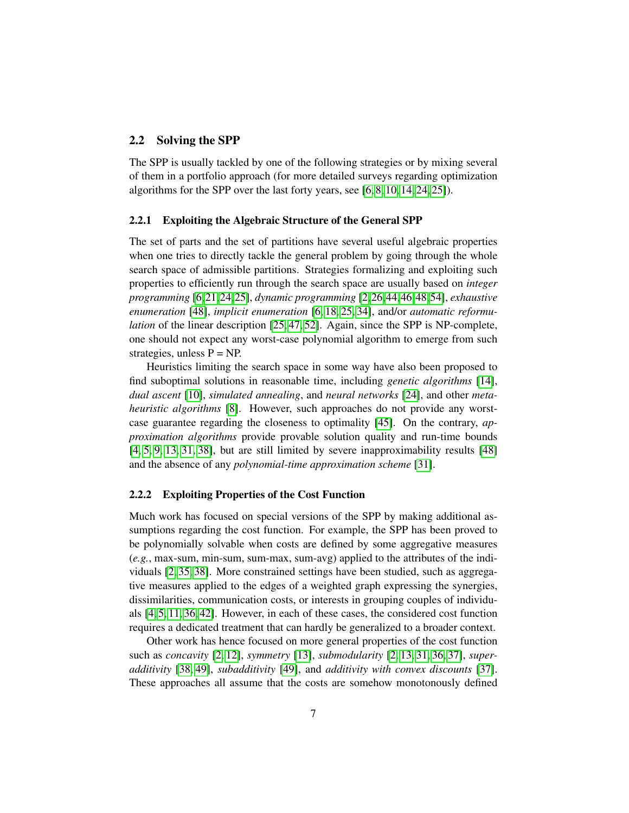#### <span id="page-8-4"></span><span id="page-8-3"></span><span id="page-8-0"></span>2.2 Solving the SPP

The SPP is usually tackled by one of the following strategies or by mixing several of them in a portfolio approach (for more detailed surveys regarding optimization algorithms for the SPP over the last forty years, see [\[6,](#page-37-3) [8,](#page-38-5) [10,](#page-38-3) [14,](#page-38-6) [24,](#page-39-4) [25\]](#page-39-5)).

#### <span id="page-8-1"></span>2.2.1 Exploiting the Algebraic Structure of the General SPP

The set of parts and the set of partitions have several useful algebraic properties when one tries to directly tackle the general problem by going through the whole search space of admissible partitions. Strategies formalizing and exploiting such properties to efficiently run through the search space are usually based on *integer programming* [\[6,](#page-37-3)[21,](#page-39-6)[24,](#page-39-4)[25\]](#page-39-5), *dynamic programming* [\[2,](#page-37-2)[26,](#page-39-2)[44,](#page-41-0)[46,](#page-41-6)[48,](#page-41-7)[54\]](#page-42-1), *exhaustive enumeration* [\[48\]](#page-41-7), *implicit enumeration* [\[6,](#page-37-3) [18,](#page-38-7) [25,](#page-39-5) [34\]](#page-40-7), and/or *automatic reformulation* of the linear description [\[25,](#page-39-5) [47,](#page-41-9) [52\]](#page-42-2). Again, since the SPP is NP-complete, one should not expect any worst-case polynomial algorithm to emerge from such strategies, unless  $P = NP$ .

Heuristics limiting the search space in some way have also been proposed to find suboptimal solutions in reasonable time, including *genetic algorithms* [\[14\]](#page-38-6), *dual ascent* [\[10\]](#page-38-3), *simulated annealing*, and *neural networks* [\[24\]](#page-39-4), and other *metaheuristic algorithms* [\[8\]](#page-38-5). However, such approaches do not provide any worstcase guarantee regarding the closeness to optimality [\[45\]](#page-41-1). On the contrary, *approximation algorithms* provide provable solution quality and run-time bounds [\[4,](#page-37-0) [5,](#page-37-1) [9,](#page-38-1) [13,](#page-38-2) [31,](#page-40-3) [38\]](#page-40-1), but are still limited by severe inapproximability results [\[48\]](#page-41-7) and the absence of any *polynomial-time approximation scheme* [\[31\]](#page-40-3).

#### <span id="page-8-2"></span>2.2.2 Exploiting Properties of the Cost Function

Much work has focused on special versions of the SPP by making additional assumptions regarding the cost function. For example, the SPP has been proved to be polynomially solvable when costs are defined by some aggregative measures (*e.g.*, max-sum, min-sum, sum-max, sum-avg) applied to the attributes of the individuals [\[2,](#page-37-2) [35,](#page-40-2) [38\]](#page-40-1). More constrained settings have been studied, such as aggregative measures applied to the edges of a weighted graph expressing the synergies, dissimilarities, communication costs, or interests in grouping couples of individuals [\[4,](#page-37-0) [5,](#page-37-1) [11,](#page-38-4) [36,](#page-40-4) [42\]](#page-41-8). However, in each of these cases, the considered cost function requires a dedicated treatment that can hardly be generalized to a broader context.

Other work has hence focused on more general properties of the cost function such as *concavity* [\[2,](#page-37-2) [12\]](#page-38-0), *symmetry* [\[13\]](#page-38-2), *submodularity* [\[2,](#page-37-2) [13,](#page-38-2) [31,](#page-40-3) [36,](#page-40-4) [37\]](#page-40-5), *superadditivity* [\[38,](#page-40-1) [49\]](#page-41-2), *subadditivity* [\[49\]](#page-41-2), and *additivity with convex discounts* [\[37\]](#page-40-5). These approaches all assume that the costs are somehow monotonously defined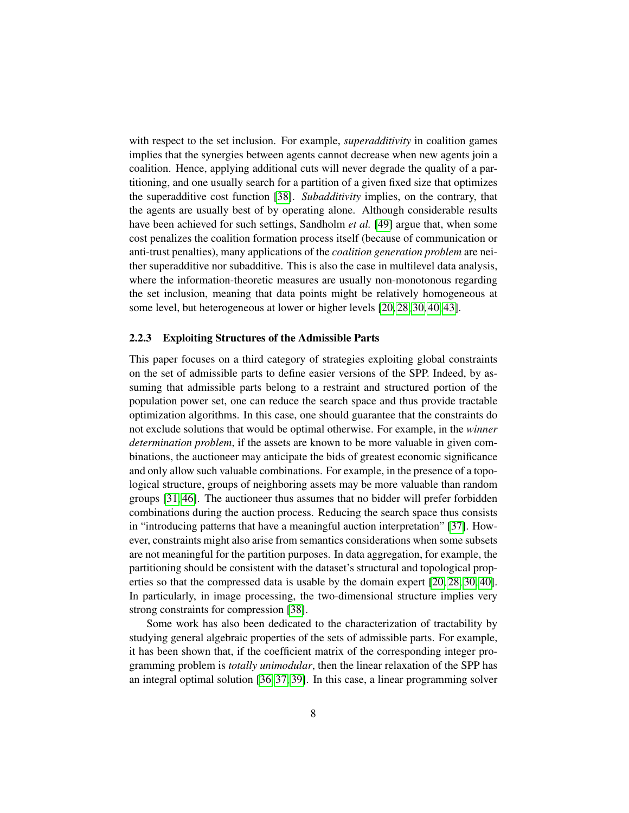<span id="page-9-0"></span>with respect to the set inclusion. For example, *superadditivity* in coalition games implies that the synergies between agents cannot decrease when new agents join a coalition. Hence, applying additional cuts will never degrade the quality of a partitioning, and one usually search for a partition of a given fixed size that optimizes the superadditive cost function [\[38\]](#page-40-1). *Subadditivity* implies, on the contrary, that the agents are usually best of by operating alone. Although considerable results have been achieved for such settings, Sandholm *et al.* [\[49\]](#page-41-2) argue that, when some cost penalizes the coalition formation process itself (because of communication or anti-trust penalties), many applications of the *coalition generation problem* are neither superadditive nor subadditive. This is also the case in multilevel data analysis, where the information-theoretic measures are usually non-monotonous regarding the set inclusion, meaning that data points might be relatively homogeneous at some level, but heterogeneous at lower or higher levels [\[20,](#page-39-3) [28,](#page-39-1) [30,](#page-40-0) [40,](#page-41-3) [43\]](#page-41-4).

#### 2.2.3 Exploiting Structures of the Admissible Parts

This paper focuses on a third category of strategies exploiting global constraints on the set of admissible parts to define easier versions of the SPP. Indeed, by assuming that admissible parts belong to a restraint and structured portion of the population power set, one can reduce the search space and thus provide tractable optimization algorithms. In this case, one should guarantee that the constraints do not exclude solutions that would be optimal otherwise. For example, in the *winner determination problem*, if the assets are known to be more valuable in given combinations, the auctioneer may anticipate the bids of greatest economic significance and only allow such valuable combinations. For example, in the presence of a topological structure, groups of neighboring assets may be more valuable than random groups [\[31,](#page-40-3) [46\]](#page-41-6). The auctioneer thus assumes that no bidder will prefer forbidden combinations during the auction process. Reducing the search space thus consists in "introducing patterns that have a meaningful auction interpretation" [\[37\]](#page-40-5). However, constraints might also arise from semantics considerations when some subsets are not meaningful for the partition purposes. In data aggregation, for example, the partitioning should be consistent with the dataset's structural and topological properties so that the compressed data is usable by the domain expert [\[20,](#page-39-3) [28,](#page-39-1) [30,](#page-40-0) [40\]](#page-41-3). In particularly, in image processing, the two-dimensional structure implies very strong constraints for compression [\[38\]](#page-40-1).

Some work has also been dedicated to the characterization of tractability by studying general algebraic properties of the sets of admissible parts. For example, it has been shown that, if the coefficient matrix of the corresponding integer programming problem is *totally unimodular*, then the linear relaxation of the SPP has an integral optimal solution [\[36,](#page-40-4) [37,](#page-40-5) [39\]](#page-40-6). In this case, a linear programming solver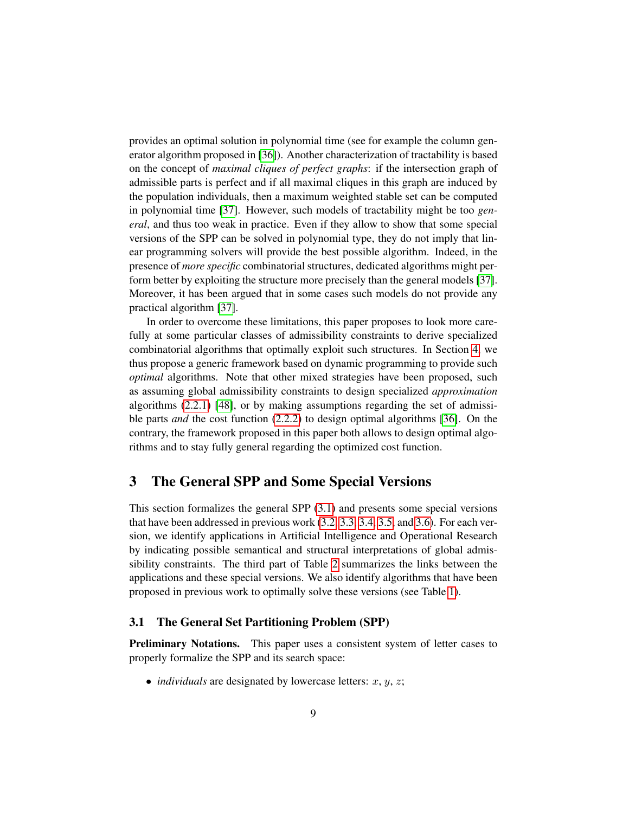provides an optimal solution in polynomial time (see for example the column generator algorithm proposed in [\[36\]](#page-40-4)). Another characterization of tractability is based on the concept of *maximal cliques of perfect graphs*: if the intersection graph of admissible parts is perfect and if all maximal cliques in this graph are induced by the population individuals, then a maximum weighted stable set can be computed in polynomial time [\[37\]](#page-40-5). However, such models of tractability might be too *general*, and thus too weak in practice. Even if they allow to show that some special versions of the SPP can be solved in polynomial type, they do not imply that linear programming solvers will provide the best possible algorithm. Indeed, in the presence of *more specific* combinatorial structures, dedicated algorithms might perform better by exploiting the structure more precisely than the general models [\[37\]](#page-40-5). Moreover, it has been argued that in some cases such models do not provide any practical algorithm [\[37\]](#page-40-5).

In order to overcome these limitations, this paper proposes to look more carefully at some particular classes of admissibility constraints to derive specialized combinatorial algorithms that optimally exploit such structures. In Section [4,](#page-19-0) we thus propose a generic framework based on dynamic programming to provide such *optimal* algorithms. Note that other mixed strategies have been proposed, such as assuming global admissibility constraints to design specialized *approximation* algorithms [\(2.2.1\)](#page-8-1) [\[48\]](#page-41-7), or by making assumptions regarding the set of admissible parts *and* the cost function [\(2.2.2\)](#page-8-2) to design optimal algorithms [\[36\]](#page-40-4). On the contrary, the framework proposed in this paper both allows to design optimal algorithms and to stay fully general regarding the optimized cost function.

## <span id="page-10-1"></span>3 The General SPP and Some Special Versions

This section formalizes the general SPP [\(3.1\)](#page-10-0) and presents some special versions that have been addressed in previous work [\(3.2,](#page-12-0) [3.3,](#page-13-0) [3.4,](#page-14-0) [3.5,](#page-15-0) and [3.6\)](#page-16-0). For each version, we identify applications in Artificial Intelligence and Operational Research by indicating possible semantical and structural interpretations of global admissibility constraints. The third part of Table [2](#page-18-0) summarizes the links between the applications and these special versions. We also identify algorithms that have been proposed in previous work to optimally solve these versions (see Table [1\)](#page-17-0).

#### <span id="page-10-0"></span>3.1 The General Set Partitioning Problem (SPP)

**Preliminary Notations.** This paper uses a consistent system of letter cases to properly formalize the SPP and its search space:

• *individuals* are designated by lowercase letters:  $x, y, z$ ;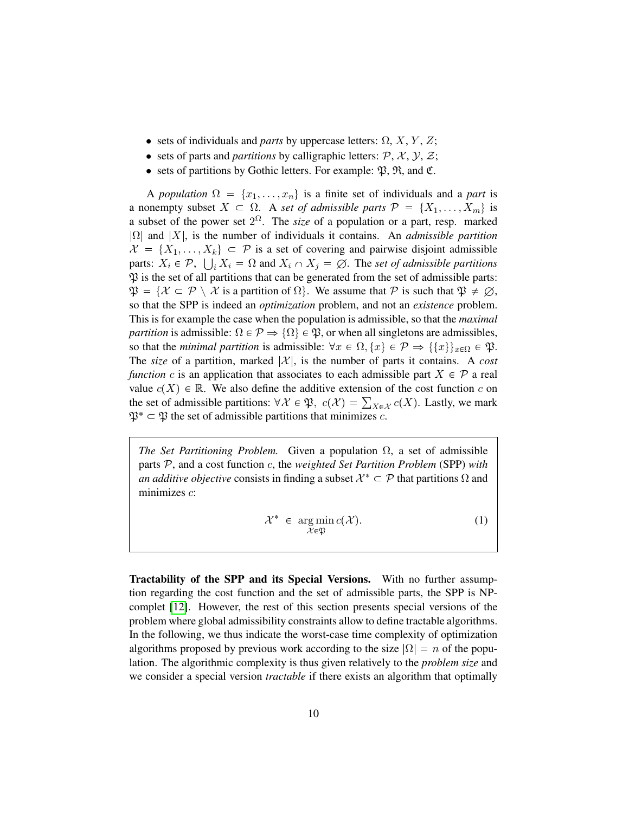- sets of individuals and *parts* by uppercase letters:  $\Omega$ ,  $X$ ,  $Y$ ,  $Z$ ;
- sets of parts and *partitions* by calligraphic letters:  $P$ ,  $X$ ,  $Y$ ,  $Z$ ;
- sets of partitions by Gothic letters. For example:  $\mathfrak{B}, \mathfrak{R},$  and  $\mathfrak{C}$ .

A *population*  $\Omega = \{x_1, \ldots, x_n\}$  is a finite set of individuals and a *part* is a nonempty subset  $X \subset \Omega$ . A *set of admissible parts*  $\mathcal{P} = \{X_1, \ldots, X_m\}$  is a subset of the power set  $2^{\Omega}$ . The *size* of a population or a part, resp. marked |Ω| and |X|, is the number of individuals it contains. An *admissible partition*  $\mathcal{X} = \{X_1, \ldots, X_k\} \subset \mathcal{P}$  is a set of covering and pairwise disjoint admissible parts:  $X_i \in \mathcal{P}$ ,  $\bigcup_i X_i = \Omega$  and  $X_i \cap X_j = \emptyset$ . The *set of admissible partitions*  $\mathfrak P$  is the set of all partitions that can be generated from the set of admissible parts:  $\mathfrak{P} = \{ \mathcal{X} \subset \mathcal{P} \setminus \mathcal{X} \text{ is a partition of } \Omega \}.$  We assume that  $\mathcal{P}$  is such that  $\mathfrak{P} \neq \emptyset$ , so that the SPP is indeed an *optimization* problem, and not an *existence* problem. This is for example the case when the population is admissible, so that the *maximal partition* is admissible:  $\Omega \in \mathcal{P} \Rightarrow \{ \Omega \} \in \mathfrak{P}$ , or when all singletons are admissibles, so that the *minimal partition* is admissible:  $\forall x \in \Omega, \{x\} \in \mathcal{P} \Rightarrow \{\{x\}\}_{x \in \Omega} \in \mathfrak{P}.$ The *size* of a partition, marked  $|\mathcal{X}|$ , is the number of parts it contains. A *cost function* c is an application that associates to each admissible part  $X \in \mathcal{P}$  a real value  $c(X) \in \mathbb{R}$ . We also define the additive extension of the cost function c on the set of admissible partitions:  $\forall \mathcal{X} \in \mathfrak{P}, c(\mathcal{X}) = \sum_{X \in \mathcal{X}} c(X)$ . Lastly, we mark  $\mathfrak{P}^* \subset \mathfrak{P}$  the set of admissible partitions that minimizes c.

*The Set Partitioning Problem.* Given a population  $\Omega$ , a set of admissible parts P, and a cost function c, the *weighted Set Partition Problem* (SPP) *with an additive objective* consists in finding a subset  $\mathcal{X}^* \subset \mathcal{P}$  that partitions  $\Omega$  and minimizes  $c$ :

$$
\mathcal{X}^* \in \underset{\mathcal{X} \in \mathfrak{P}}{\arg \min} c(\mathcal{X}). \tag{1}
$$

Tractability of the SPP and its Special Versions. With no further assumption regarding the cost function and the set of admissible parts, the SPP is NPcomplet [\[12\]](#page-38-0). However, the rest of this section presents special versions of the problem where global admissibility constraints allow to define tractable algorithms. In the following, we thus indicate the worst-case time complexity of optimization algorithms proposed by previous work according to the size  $|\Omega| = n$  of the population. The algorithmic complexity is thus given relatively to the *problem size* and we consider a special version *tractable* if there exists an algorithm that optimally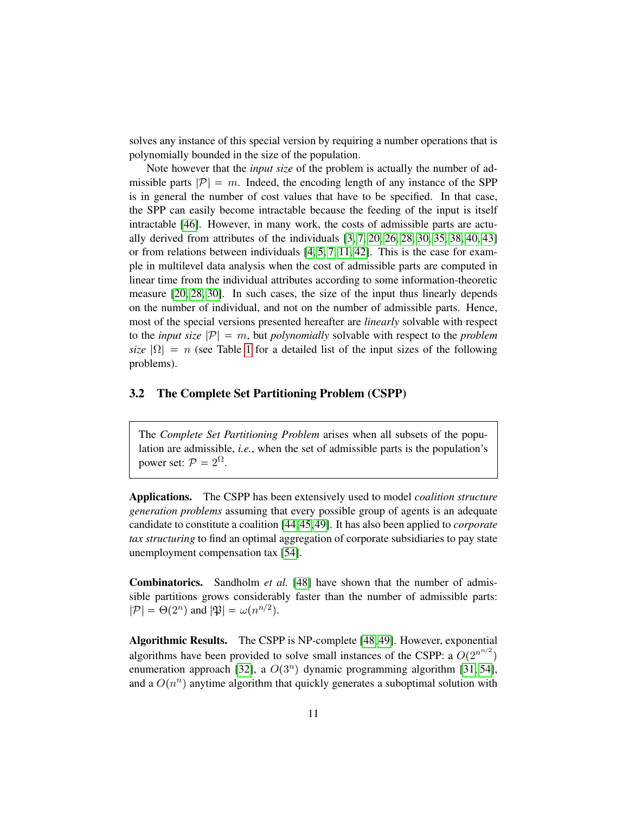<span id="page-12-1"></span>solves any instance of this special version by requiring a number operations that is polynomially bounded in the size of the population.

Note however that the *input size* of the problem is actually the number of admissible parts  $|\mathcal{P}| = m$ . Indeed, the encoding length of any instance of the SPP is in general the number of cost values that have to be specified. In that case, the SPP can easily become intractable because the feeding of the input is itself intractable [\[46\]](#page-41-6). However, in many work, the costs of admissible parts are actually derived from attributes of the individuals  $[3, 7, 20, 26, 28, 30, 35, 38, 40, 43]$  $[3, 7, 20, 26, 28, 30, 35, 38, 40, 43]$  $[3, 7, 20, 26, 28, 30, 35, 38, 40, 43]$  $[3, 7, 20, 26, 28, 30, 35, 38, 40, 43]$  $[3, 7, 20, 26, 28, 30, 35, 38, 40, 43]$  $[3, 7, 20, 26, 28, 30, 35, 38, 40, 43]$  $[3, 7, 20, 26, 28, 30, 35, 38, 40, 43]$  $[3, 7, 20, 26, 28, 30, 35, 38, 40, 43]$  $[3, 7, 20, 26, 28, 30, 35, 38, 40, 43]$  $[3, 7, 20, 26, 28, 30, 35, 38, 40, 43]$ or from relations between individuals  $[4, 5, 7, 11, 42]$  $[4, 5, 7, 11, 42]$  $[4, 5, 7, 11, 42]$  $[4, 5, 7, 11, 42]$  $[4, 5, 7, 11, 42]$ . This is the case for example in multilevel data analysis when the cost of admissible parts are computed in linear time from the individual attributes according to some information-theoretic measure [\[20,](#page-39-3) [28,](#page-39-1) [30\]](#page-40-0). In such cases, the size of the input thus linearly depends on the number of individual, and not on the number of admissible parts. Hence, most of the special versions presented hereafter are *linearly* solvable with respect to the *input size*  $|\mathcal{P}| = m$ , but *polynomially* solvable with respect to the *problem size*  $|\Omega| = n$  (see Table [1](#page-17-0) for a detailed list of the input sizes of the following problems).

#### <span id="page-12-0"></span>3.2 The Complete Set Partitioning Problem (CSPP)

The *Complete Set Partitioning Problem* arises when all subsets of the population are admissible, *i.e.*, when the set of admissible parts is the population's power set:  $P = 2^{\Omega}$ .

Applications. The CSPP has been extensively used to model *coalition structure generation problems* assuming that every possible group of agents is an adequate candidate to constitute a coalition [\[44,](#page-41-0)[45,](#page-41-1)[49\]](#page-41-2). It has also been applied to *corporate tax structuring* to find an optimal aggregation of corporate subsidiaries to pay state unemployment compensation tax [\[54\]](#page-42-1).

Combinatorics. Sandholm *et al.* [\[48\]](#page-41-7) have shown that the number of admissible partitions grows considerably faster than the number of admissible parts:  $|\mathcal{P}| = \Theta(2^n)$  and  $|\mathfrak{P}| = \omega(n^{n/2})$ .

Algorithmic Results. The CSPP is NP-complete [\[48,](#page-41-7) [49\]](#page-41-2). However, exponential algorithms have been provided to solve small instances of the CSPP: a  $O(2^{n^{n/2}})$ enumeration approach [\[32\]](#page-40-8), a  $O(3^n)$  dynamic programming algorithm [\[31,](#page-40-3) [54\]](#page-42-1), and a  $O(n^n)$  anytime algorithm that quickly generates a suboptimal solution with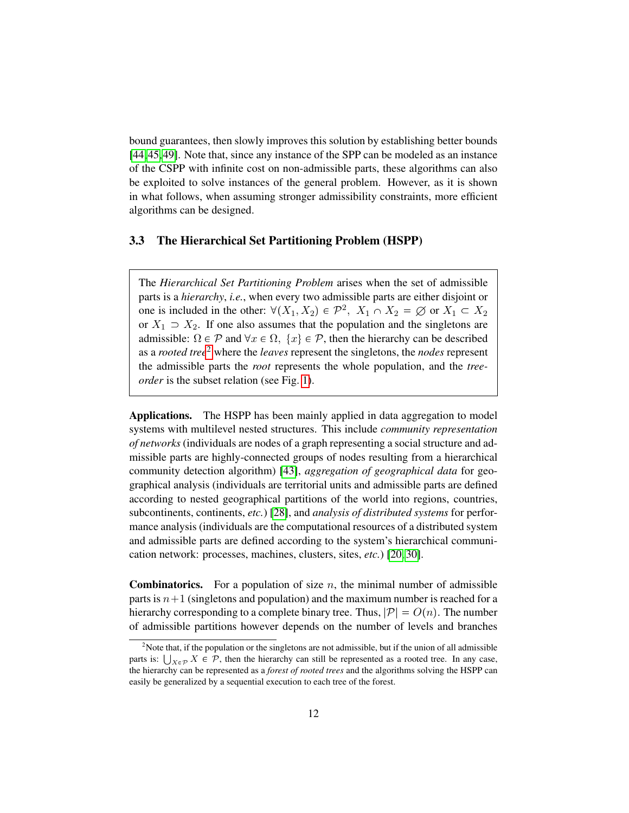<span id="page-13-2"></span>bound guarantees, then slowly improves this solution by establishing better bounds [\[44,](#page-41-0)[45,](#page-41-1)[49\]](#page-41-2). Note that, since any instance of the SPP can be modeled as an instance of the CSPP with infinite cost on non-admissible parts, these algorithms can also be exploited to solve instances of the general problem. However, as it is shown in what follows, when assuming stronger admissibility constraints, more efficient algorithms can be designed.

#### <span id="page-13-0"></span>3.3 The Hierarchical Set Partitioning Problem (HSPP)

The *Hierarchical Set Partitioning Problem* arises when the set of admissible parts is a *hierarchy*, *i.e.*, when every two admissible parts are either disjoint or one is included in the other:  $\forall (X_1, X_2) \in \mathcal{P}^2$ ,  $X_1 \cap X_2 = \emptyset$  or  $X_1 \subset X_2$ or  $X_1 \supset X_2$ . If one also assumes that the population and the singletons are admissible:  $\Omega \in \mathcal{P}$  and  $\forall x \in \Omega$ ,  $\{x\} \in \mathcal{P}$ , then the hierarchy can be described as a *rooted tree*[2](#page-13-1) where the *leaves* represent the singletons, the *nodes* represent the admissible parts the *root* represents the whole population, and the *treeorder* is the subset relation (see Fig. [1\)](#page-14-1).

Applications. The HSPP has been mainly applied in data aggregation to model systems with multilevel nested structures. This include *community representation of networks* (individuals are nodes of a graph representing a social structure and admissible parts are highly-connected groups of nodes resulting from a hierarchical community detection algorithm) [\[43\]](#page-41-4), *aggregation of geographical data* for geographical analysis (individuals are territorial units and admissible parts are defined according to nested geographical partitions of the world into regions, countries, subcontinents, continents, *etc.*) [\[28\]](#page-39-1), and *analysis of distributed systems* for performance analysis (individuals are the computational resources of a distributed system and admissible parts are defined according to the system's hierarchical communication network: processes, machines, clusters, sites, *etc.*) [\[20,](#page-39-3) [30\]](#page-40-0).

**Combinatorics.** For a population of size n, the minimal number of admissible parts is  $n+1$  (singletons and population) and the maximum number is reached for a hierarchy corresponding to a complete binary tree. Thus,  $|\mathcal{P}| = O(n)$ . The number of admissible partitions however depends on the number of levels and branches

<span id="page-13-1"></span> $2^{\circ}$ Note that, if the population or the singletons are not admissible, but if the union of all admissible parts is:  $\bigcup_{X \in \mathcal{P}} X \in \mathcal{P}$ , then the hierarchy can still be represented as a rooted tree. In any case, the hierarchy can be represented as a *forest of rooted trees* and the algorithms solving the HSPP can easily be generalized by a sequential execution to each tree of the forest.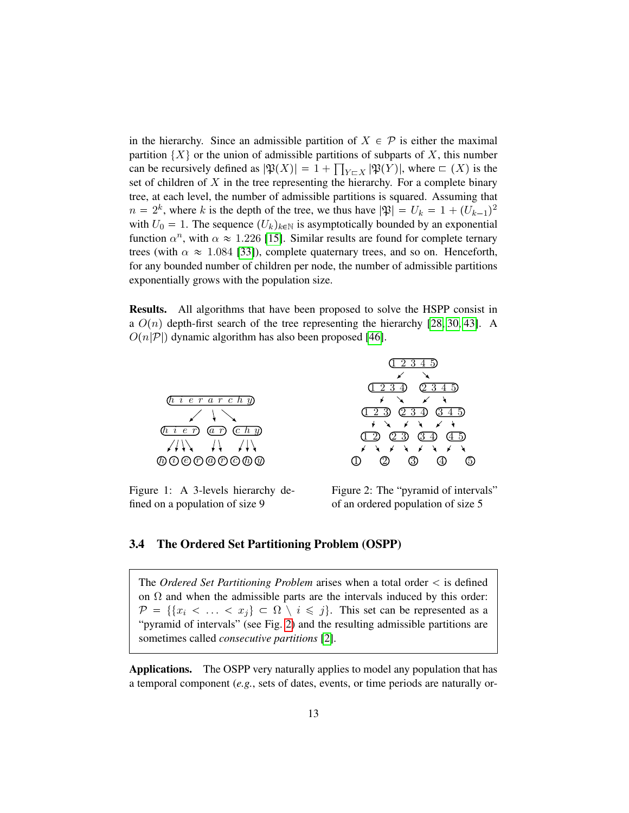<span id="page-14-3"></span>in the hierarchy. Since an admissible partition of  $X \in \mathcal{P}$  is either the maximal partition  $\{X\}$  or the union of admissible partitions of subparts of X, this number can be recursively defined as  $|\mathfrak{P}(X)| = 1 + \prod_{Y \subset X} |\mathfrak{P}(Y)|$ , where  $\subset (X)$  is the set of children of  $X$  in the tree representing the hierarchy. For a complete binary tree, at each level, the number of admissible partitions is squared. Assuming that  $n = 2<sup>k</sup>$ , where k is the depth of the tree, we thus have  $|\mathfrak{P}| = U_k = 1 + (U_{k-1})^2$ with  $U_0 = 1$ . The sequence  $(U_k)_{k \in \mathbb{N}}$  is asymptotically bounded by an exponential function  $\alpha^n$ , with  $\alpha \approx 1.226$  [\[15\]](#page-38-9). Similar results are found for complete ternary trees (with  $\alpha \approx 1.084$  [\[33\]](#page-40-9)), complete quaternary trees, and so on. Henceforth, for any bounded number of children per node, the number of admissible partitions exponentially grows with the population size.

Results. All algorithms that have been proposed to solve the HSPP consist in a  $O(n)$  depth-first search of the tree representing the hierarchy [\[28,](#page-39-1) [30,](#page-40-0) [43\]](#page-41-4). A  $O(n|\mathcal{P}|)$  dynamic algorithm has also been proposed [\[46\]](#page-41-6).





<span id="page-14-1"></span>Figure 1: A 3-levels hierarchy defined on a population of size 9

<span id="page-14-2"></span>Figure 2: The "pyramid of intervals" of an ordered population of size 5

#### <span id="page-14-0"></span>3.4 The Ordered Set Partitioning Problem (OSPP)

The *Ordered Set Partitioning Problem* arises when a total order is defined on  $\Omega$  and when the admissible parts are the intervals induced by this order:  $\mathcal{P} = \{ \{x_i \leq \ldots \leq x_j\} \subset \Omega \setminus i \leq j \}.$  This set can be represented as a "pyramid of intervals" (see Fig. [2\)](#page-14-2) and the resulting admissible partitions are sometimes called *consecutive partitions* [\[2\]](#page-37-2).

Applications. The OSPP very naturally applies to model any population that has a temporal component (*e.g.*, sets of dates, events, or time periods are naturally or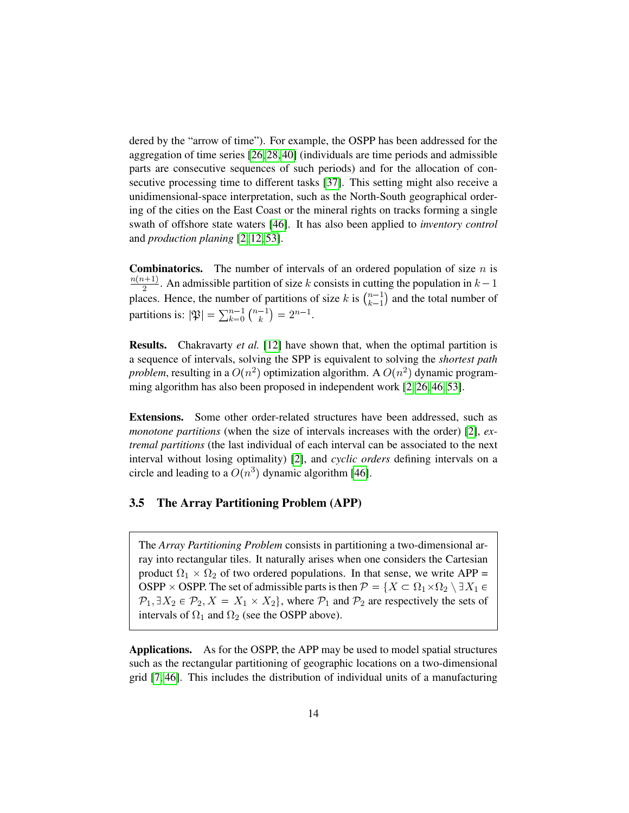<span id="page-15-1"></span>dered by the "arrow of time"). For example, the OSPP has been addressed for the aggregation of time series [\[26,](#page-39-2) [28,](#page-39-1) [40\]](#page-41-3) (individuals are time periods and admissible parts are consecutive sequences of such periods) and for the allocation of consecutive processing time to different tasks [\[37\]](#page-40-5). This setting might also receive a unidimensional-space interpretation, such as the North-South geographical ordering of the cities on the East Coast or the mineral rights on tracks forming a single swath of offshore state waters [\[46\]](#page-41-6). It has also been applied to *inventory control* and *production planing* [\[2,](#page-37-2) [12,](#page-38-0) [53\]](#page-42-0).

**Combinatorics.** The number of intervals of an ordered population of size  $n$  is  $n(n+1)$  $\frac{2^{k+1}}{2}$ . An admissible partition of size k consists in cutting the population in  $k-1$ places. Hence, the number of partitions of size k is  $\binom{n-1}{k-1}$  $\binom{n-1}{k-1}$  and the total number of partitions is:  $|\mathfrak{P}| = \sum_{k=0}^{n-1} \binom{n-1}{k}$  $\binom{-1}{k} = 2^{n-1}.$ 

Results. Chakravarty *et al.* [\[12\]](#page-38-0) have shown that, when the optimal partition is a sequence of intervals, solving the SPP is equivalent to solving the *shortest path problem*, resulting in a  $O(n^2)$  optimization algorithm. A  $O(n^2)$  dynamic program-ming algorithm has also been proposed in independent work [\[2,](#page-37-2) [26,](#page-39-2) [46,](#page-41-6) [53\]](#page-42-0).

Extensions. Some other order-related structures have been addressed, such as *monotone partitions* (when the size of intervals increases with the order) [\[2\]](#page-37-2), *extremal partitions* (the last individual of each interval can be associated to the next interval without losing optimality) [\[2\]](#page-37-2), and *cyclic orders* defining intervals on a circle and leading to a  $O(n^3)$  dynamic algorithm [\[46\]](#page-41-6).

#### <span id="page-15-0"></span>3.5 The Array Partitioning Problem (APP)

The *Array Partitioning Problem* consists in partitioning a two-dimensional array into rectangular tiles. It naturally arises when one considers the Cartesian product  $\Omega_1 \times \Omega_2$  of two ordered populations. In that sense, we write APP = OSPP  $\times$  OSPP. The set of admissible parts is then  $\mathcal{P}=\{X\subset \Omega_1\times \Omega_2\setminus \exists X_1\in$  $\mathcal{P}_1, \exists X_2 \in \mathcal{P}_2, X = X_1 \times X_2$ , where  $\mathcal{P}_1$  and  $\mathcal{P}_2$  are respectively the sets of intervals of  $\Omega_1$  and  $\Omega_2$  (see the OSPP above).

Applications. As for the OSPP, the APP may be used to model spatial structures such as the rectangular partitioning of geographic locations on a two-dimensional grid [\[7,](#page-38-8) [46\]](#page-41-6). This includes the distribution of individual units of a manufacturing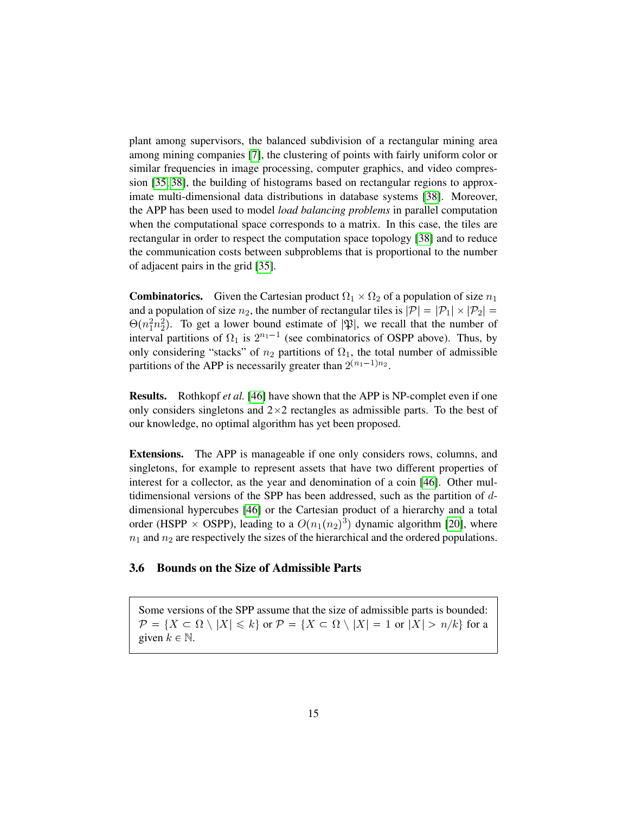<span id="page-16-1"></span>plant among supervisors, the balanced subdivision of a rectangular mining area among mining companies [\[7\]](#page-38-8), the clustering of points with fairly uniform color or similar frequencies in image processing, computer graphics, and video compression [\[35,](#page-40-2) [38\]](#page-40-1), the building of histograms based on rectangular regions to approximate multi-dimensional data distributions in database systems [\[38\]](#page-40-1). Moreover, the APP has been used to model *load balancing problems* in parallel computation when the computational space corresponds to a matrix. In this case, the tiles are rectangular in order to respect the computation space topology [\[38\]](#page-40-1) and to reduce the communication costs between subproblems that is proportional to the number of adjacent pairs in the grid [\[35\]](#page-40-2).

**Combinatorics.** Given the Cartesian product  $\Omega_1 \times \Omega_2$  of a population of size  $n_1$ and a population of size  $n_2$ , the number of rectangular tiles is  $|\mathcal{P}| = |\mathcal{P}_1| \times |\mathcal{P}_2| =$  $\Theta(n_1^2n_2^2)$ . To get a lower bound estimate of  $|\mathfrak{P}|$ , we recall that the number of interval partitions of  $\Omega_1$  is  $2^{n_1-1}$  (see combinatorics of OSPP above). Thus, by only considering "stacks" of  $n_2$  partitions of  $\Omega_1$ , the total number of admissible partitions of the APP is necessarily greater than  $2^{(n_1-1)n_2}$ .

Results. Rothkopf *et al.* [\[46\]](#page-41-6) have shown that the APP is NP-complet even if one only considers singletons and  $2 \times 2$  rectangles as admissible parts. To the best of our knowledge, no optimal algorithm has yet been proposed.

Extensions. The APP is manageable if one only considers rows, columns, and singletons, for example to represent assets that have two different properties of interest for a collector, as the year and denomination of a coin [\[46\]](#page-41-6). Other multidimensional versions of the SPP has been addressed, such as the partition of ddimensional hypercubes [\[46\]](#page-41-6) or the Cartesian product of a hierarchy and a total order (HSPP  $\times$  OSPP), leading to a  $O(n_1(n_2)^3)$  dynamic algorithm [\[20\]](#page-39-3), where  $n_1$  and  $n_2$  are respectively the sizes of the hierarchical and the ordered populations.

### <span id="page-16-0"></span>3.6 Bounds on the Size of Admissible Parts

Some versions of the SPP assume that the size of admissible parts is bounded:  $\mathcal{P} = \{X \subset \Omega \setminus |X| \leq k\}$  or  $\mathcal{P} = \{X \subset \Omega \setminus |X| = 1$  or  $|X| > n/k\}$  for a given  $k \in \mathbb{N}$ .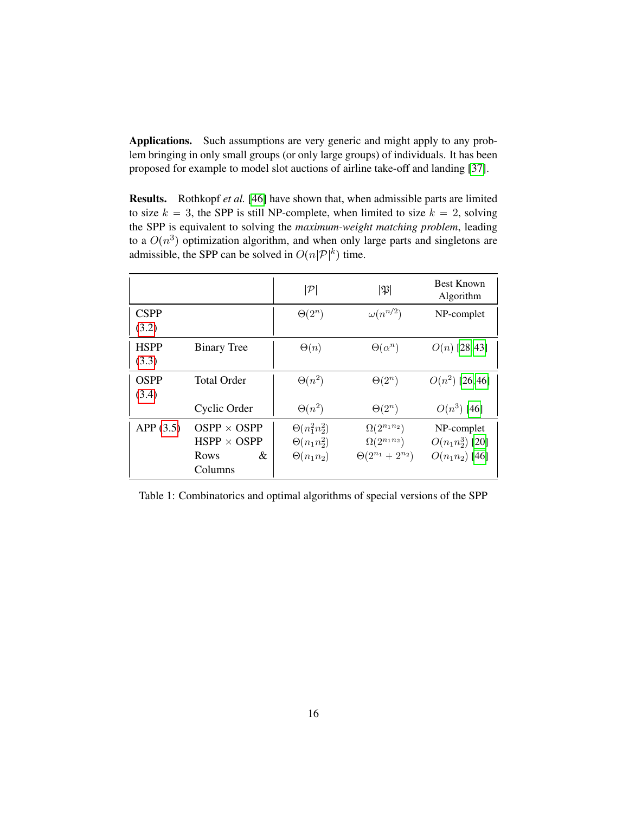Applications. Such assumptions are very generic and might apply to any problem bringing in only small groups (or only large groups) of individuals. It has been proposed for example to model slot auctions of airline take-off and landing [\[37\]](#page-40-5).

Results. Rothkopf *et al.* [\[46\]](#page-41-6) have shown that, when admissible parts are limited to size  $k = 3$ , the SPP is still NP-complete, when limited to size  $k = 2$ , solving the SPP is equivalent to solving the *maximum-weight matching problem*, leading to a  $O(n^3)$  optimization algorithm, and when only large parts and singletons are admissible, the SPP can be solved in  $O(n|\mathcal{P}|^k)$  time.

|                      |                                                                 | $\cal P$                                                       | $ \mathfrak{P} $                                                          | <b>Best Known</b><br>Algorithm                       |
|----------------------|-----------------------------------------------------------------|----------------------------------------------------------------|---------------------------------------------------------------------------|------------------------------------------------------|
| <b>CSPP</b><br>(3.2) |                                                                 | $\Theta(2^n)$                                                  | $\omega(n^{n/2})$                                                         | NP-complet                                           |
| <b>HSPP</b><br>(3.3) | <b>Binary Tree</b>                                              | $\Theta(n)$                                                    | $\Theta(\alpha^n)$                                                        | $O(n)$ [28,43]                                       |
| <b>OSPP</b><br>(3.4) | <b>Total Order</b>                                              | $\Theta(n^2)$                                                  | $\Theta(2^n)$                                                             | $O(n^2)$ [26,46]                                     |
|                      | Cyclic Order                                                    | $\Theta(n^2)$                                                  | $\Theta(2^n)$                                                             | $O(n^3)$ [46]                                        |
| APP(3.5)             | $OSPP \times OSP$<br>$HSPP \times OSPP$<br>&<br>Rows<br>Columns | $\Theta(n_1^2n_2^2)$<br>$\Theta(n_1n_2^2)$<br>$\Theta(n_1n_2)$ | $\Omega(2^{n_1n_2})$<br>$\Omega(2^{n_1n_2})$<br>$\Theta(2^{n_1}+2^{n_2})$ | NP-complet<br>$O(n_1n_2^3)$ [20]<br>$O(n_1n_2)$ [46] |

<span id="page-17-0"></span>Table 1: Combinatorics and optimal algorithms of special versions of the SPP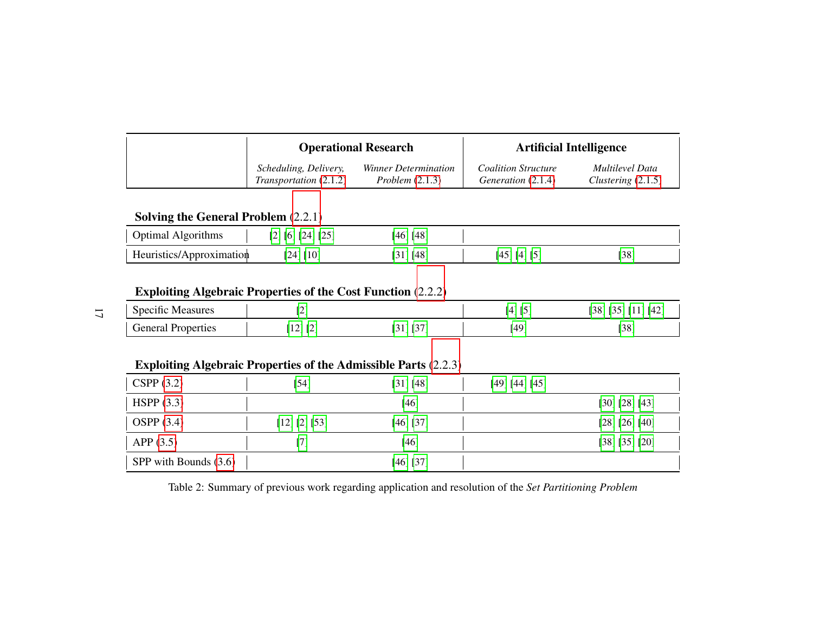<span id="page-18-0"></span>

| <b>Operational Research</b>   |                      | <b>Artificial Intelligence</b> |                      |  |
|-------------------------------|----------------------|--------------------------------|----------------------|--|
| Scheduling, Delivery,         | Winner Determination | <b>Coalition Structure</b>     | Multilevel Data      |  |
| <i>Transportation</i> (2.1.2) | Problem $(2.1.3)$    | Generation (2.1.4)             | Clustering $(2.1.5)$ |  |

## **Solving the General Problem** [\(2.2.1\)](#page-8-3)

| . Algorithms<br><b>Optimal</b> | [2] [6] [24] [25] | [46] [48] |                         |        |
|--------------------------------|-------------------|-----------|-------------------------|--------|
| Heuristics/Approximation       | [24] [10]         | [31] [48] | 1431.<br>I4 I<br>$\cup$ | $[38]$ |

## Exploiting Algebraic Properties of the Cost Function [\(2.2.2\)](#page-8-4)

| $\sim$<br>Measures<br>Specific | <b>COL</b><br>-                |                                     | $\mathbf{r}$<br>ا∆،<br>. . | רס כי<br>1901<br>∸<br>$\sim$<br>--<br>. |
|--------------------------------|--------------------------------|-------------------------------------|----------------------------|-----------------------------------------|
| General<br><b>Properties</b>   | EQ <sub>1</sub><br>101<br>1412 | $\sqrt{2}$<br>$\overline{ }$<br>. . | [49]<br>.                  | гоот<br>20                              |

## Exploiting Algebraic Properties of the Admissible Parts [\(2.2.3\)](#page-9-0)

| CSPP $(3.2)$          | $[54]$        | [31] [48]   | [49] [44] [45] |                |
|-----------------------|---------------|-------------|----------------|----------------|
| HSPP(3.3)             |               | $[46]$      |                | [30] [28] [43] |
| OSPP $(3.4)$          | [12] [2] [53] | $[46]$ [37] |                | [28] [26] [40] |
| APP(3.5)              |               | [46]        |                | [38] [35] [20] |
| SPP with Bounds (3.6) |               | $[46]$ [37] |                |                |

Table 2: Summary of previous work regarding application and resolution of the *Set Partitioning Problem*

17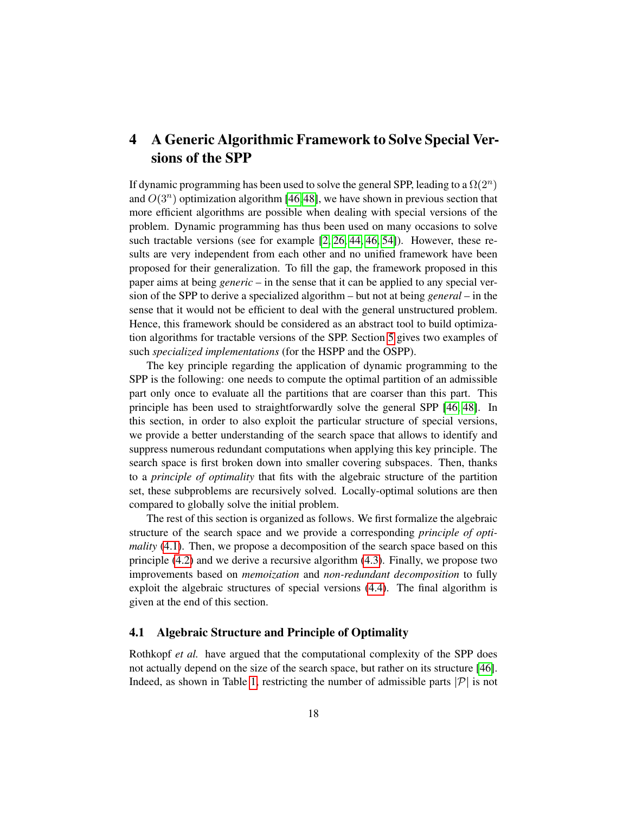## <span id="page-19-0"></span>4 A Generic Algorithmic Framework to Solve Special Versions of the SPP

If dynamic programming has been used to solve the general SPP, leading to a  $\Omega(2^n)$ and  $O(3^n)$  optimization algorithm [\[46,](#page-41-6)[48\]](#page-41-7), we have shown in previous section that more efficient algorithms are possible when dealing with special versions of the problem. Dynamic programming has thus been used on many occasions to solve such tractable versions (see for example  $[2, 26, 44, 46, 54]$  $[2, 26, 44, 46, 54]$  $[2, 26, 44, 46, 54]$  $[2, 26, 44, 46, 54]$  $[2, 26, 44, 46, 54]$ ). However, these results are very independent from each other and no unified framework have been proposed for their generalization. To fill the gap, the framework proposed in this paper aims at being *generic* – in the sense that it can be applied to any special version of the SPP to derive a specialized algorithm – but not at being *general* – in the sense that it would not be efficient to deal with the general unstructured problem. Hence, this framework should be considered as an abstract tool to build optimization algorithms for tractable versions of the SPP. Section [5](#page-26-0) gives two examples of such *specialized implementations* (for the HSPP and the OSPP).

The key principle regarding the application of dynamic programming to the SPP is the following: one needs to compute the optimal partition of an admissible part only once to evaluate all the partitions that are coarser than this part. This principle has been used to straightforwardly solve the general SPP [\[46,](#page-41-6) [48\]](#page-41-7). In this section, in order to also exploit the particular structure of special versions, we provide a better understanding of the search space that allows to identify and suppress numerous redundant computations when applying this key principle. The search space is first broken down into smaller covering subspaces. Then, thanks to a *principle of optimality* that fits with the algebraic structure of the partition set, these subproblems are recursively solved. Locally-optimal solutions are then compared to globally solve the initial problem.

The rest of this section is organized as follows. We first formalize the algebraic structure of the search space and we provide a corresponding *principle of optimality* [\(4.1\)](#page-19-1). Then, we propose a decomposition of the search space based on this principle [\(4.2\)](#page-21-0) and we derive a recursive algorithm [\(4.3\)](#page-22-0). Finally, we propose two improvements based on *memoization* and *non-redundant decomposition* to fully exploit the algebraic structures of special versions [\(4.4\)](#page-23-0). The final algorithm is given at the end of this section.

#### <span id="page-19-1"></span>4.1 Algebraic Structure and Principle of Optimality

Rothkopf *et al.* have argued that the computational complexity of the SPP does not actually depend on the size of the search space, but rather on its structure [\[46\]](#page-41-6). Indeed, as shown in Table [1,](#page-17-0) restricting the number of admissible parts  $|\mathcal{P}|$  is not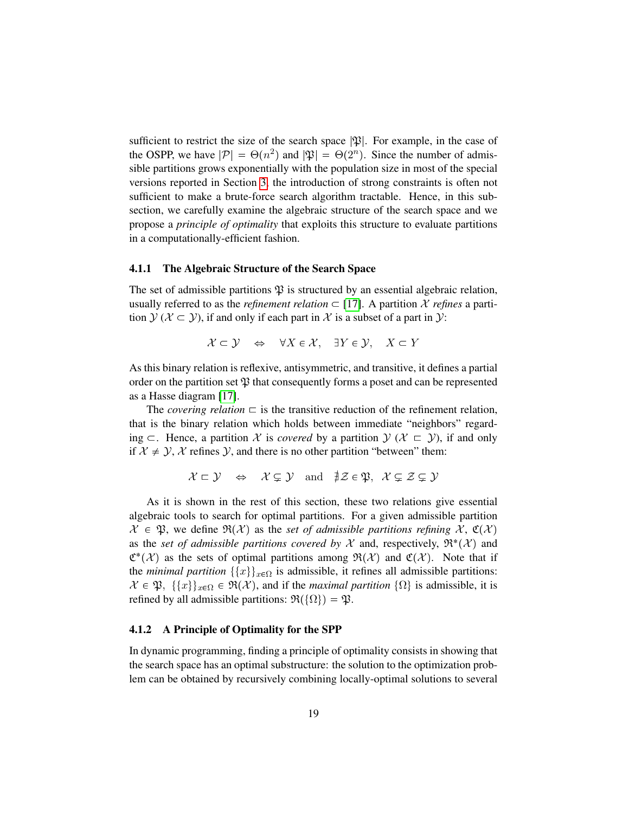sufficient to restrict the size of the search space  $|\mathfrak{P}|$ . For example, in the case of the OSPP, we have  $|\mathcal{P}| = \Theta(n^2)$  and  $|\mathfrak{P}| = \Theta(2^n)$ . Since the number of admissible partitions grows exponentially with the population size in most of the special versions reported in Section [3,](#page-10-1) the introduction of strong constraints is often not sufficient to make a brute-force search algorithm tractable. Hence, in this subsection, we carefully examine the algebraic structure of the search space and we propose a *principle of optimality* that exploits this structure to evaluate partitions in a computationally-efficient fashion.

#### 4.1.1 The Algebraic Structure of the Search Space

The set of admissible partitions  $\mathfrak P$  is structured by an essential algebraic relation, usually referred to as the *refinement relation*  $\subset$  [\[17\]](#page-38-14). A partition X *refines* a partition  $\mathcal{Y}(\mathcal{X} \subset \mathcal{Y})$ , if and only if each part in X is a subset of a part in  $\mathcal{Y}$ :

$$
\mathcal{X} \subset \mathcal{Y} \quad \Leftrightarrow \quad \forall X \in \mathcal{X}, \quad \exists Y \in \mathcal{Y}, \quad X \subset Y
$$

As this binary relation is reflexive, antisymmetric, and transitive, it defines a partial order on the partition set  $\mathfrak P$  that consequently forms a poset and can be represented as a Hasse diagram [\[17\]](#page-38-14).

The *covering relation*  $\subset$  is the transitive reduction of the refinement relation, that is the binary relation which holds between immediate "neighbors" regarding  $\subset$ . Hence, a partition X is *covered* by a partition  $\mathcal{Y}(\mathcal{X} \subset \mathcal{Y})$ , if and only if  $\mathcal{X} \neq \mathcal{Y}, \mathcal{X}$  refines  $\mathcal{Y}$ , and there is no other partition "between" them:

$$
\mathcal{X} \sqsubset \mathcal{Y} \quad \Leftrightarrow \quad \mathcal{X} \subsetneq \mathcal{Y} \quad \text{and} \quad \nexists \mathcal{Z} \in \mathfrak{P}, \ \mathcal{X} \subsetneq \mathcal{Z} \subsetneq \mathcal{Y}
$$

As it is shown in the rest of this section, these two relations give essential algebraic tools to search for optimal partitions. For a given admissible partition  $\mathcal{X} \in \mathfrak{P}$ , we define  $\mathfrak{R}(\mathcal{X})$  as the *set of admissible partitions refining* X,  $\mathfrak{C}(\mathcal{X})$ as the *set of admissible partitions covered by*  $\mathcal X$  and, respectively,  $\mathfrak{R}^*(\mathcal X)$  and  $\mathfrak{C}^*(\mathcal{X})$  as the sets of optimal partitions among  $\mathfrak{R}(\mathcal{X})$  and  $\mathfrak{C}(\mathcal{X})$ . Note that if the *minimal partition*  $\{\{x\}\}_{x \in \Omega}$  is admissible, it refines all admissible partitions:  $X \in \mathfrak{P}, \ \{\{x\}\}_{x \in \Omega} \in \mathfrak{R}(\mathcal{X})$ , and if the *maximal partition*  $\{\Omega\}$  is admissible, it is refined by all admissible partitions:  $\mathfrak{R}(\{\Omega\}) = \mathfrak{P}.$ 

#### 4.1.2 A Principle of Optimality for the SPP

In dynamic programming, finding a principle of optimality consists in showing that the search space has an optimal substructure: the solution to the optimization problem can be obtained by recursively combining locally-optimal solutions to several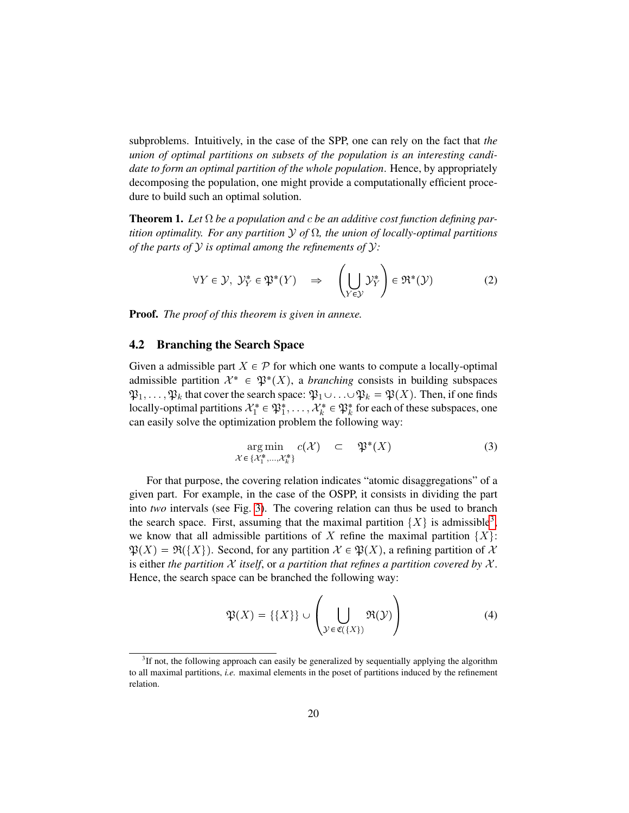subproblems. Intuitively, in the case of the SPP, one can rely on the fact that *the union of optimal partitions on subsets of the population is an interesting candidate to form an optimal partition of the whole population*. Hence, by appropriately decomposing the population, one might provide a computationally efficient procedure to build such an optimal solution.

<span id="page-21-5"></span>Theorem 1. *Let* Ω *be a population and* c *be an additive cost function defining partition optimality. For any partition* Y *of* Ω*, the union of locally-optimal partitions of the parts of* Y *is optimal among the refinements of* Y*:*

<span id="page-21-2"></span>
$$
\forall Y \in \mathcal{Y}, \ \mathcal{Y}_Y^* \in \mathfrak{P}^*(Y) \quad \Rightarrow \quad \left(\bigcup_{Y \in \mathcal{Y}} \mathcal{Y}_Y^*\right) \in \mathfrak{R}^*(\mathcal{Y}) \tag{2}
$$

Proof. *The proof of this theorem is given in annexe.*

## <span id="page-21-0"></span>4.2 Branching the Search Space

Given a admissible part  $X \in \mathcal{P}$  for which one wants to compute a locally-optimal admissible partition  $\mathcal{X}^* \in \mathfrak{P}^*(X)$ , a *branching* consists in building subspaces  $\mathfrak{P}_1,\ldots,\mathfrak{P}_k$  that cover the search space:  $\mathfrak{P}_1\cup\ldots\cup\mathfrak{P}_k=\mathfrak{P}(X)$ . Then, if one finds locally-optimal partitions  $\mathcal{X}_1^* \in \mathfrak{P}_1^*, \ldots, \mathcal{X}_k^* \in \mathfrak{P}_k^*$  for each of these subspaces, one can easily solve the optimization problem the following way:

<span id="page-21-3"></span>
$$
\underset{\mathcal{X}\in\{\mathcal{X}_1^*,\ldots,\mathcal{X}_k^*\}}{\arg\min} c(\mathcal{X}) \quad \subset \quad \mathfrak{P}^*(X) \tag{3}
$$

For that purpose, the covering relation indicates "atomic disaggregations" of a given part. For example, in the case of the OSPP, it consists in dividing the part into *two* intervals (see Fig. [3\)](#page-22-1). The covering relation can thus be used to branch the search space. First, assuming that the maximal partition  $\{X\}$  is admissible<sup>[3](#page-21-1)</sup>, we know that all admissible partitions of X refine the maximal partition  $\{X\}$ :  $\mathfrak{P}(X) = \mathfrak{R}(\{X\})$ . Second, for any partition  $\mathcal{X} \in \mathfrak{P}(X)$ , a refining partition of X is either *the partition*  $X$  *itself, or a partition that refines a partition covered by*  $X$ . Hence, the search space can be branched the following way:

<span id="page-21-4"></span>
$$
\mathfrak{P}(X) = \{\{X\}\} \cup \left(\bigcup_{\mathcal{Y} \in \mathfrak{C}(\{X\})} \mathfrak{R}(\mathcal{Y})\right) \tag{4}
$$

<span id="page-21-1"></span> $3$ If not, the following approach can easily be generalized by sequentially applying the algorithm to all maximal partitions, *i.e.* maximal elements in the poset of partitions induced by the refinement relation.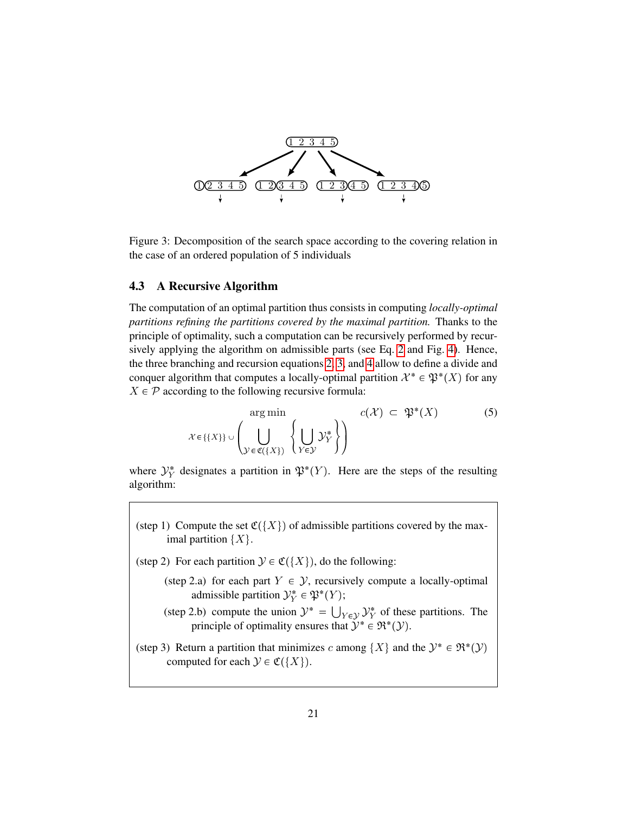

<span id="page-22-1"></span>Figure 3: Decomposition of the search space according to the covering relation in the case of an ordered population of 5 individuals

#### <span id="page-22-0"></span>4.3 A Recursive Algorithm

The computation of an optimal partition thus consists in computing *locally-optimal partitions refining the partitions covered by the maximal partition.* Thanks to the principle of optimality, such a computation can be recursively performed by recursively applying the algorithm on admissible parts (see Eq. [2](#page-21-2) and Fig. [4\)](#page-23-1). Hence, the three branching and recursion equations [2,](#page-21-2) [3,](#page-21-3) and [4](#page-21-4) allow to define a divide and conquer algorithm that computes a locally-optimal partition  $\mathcal{X}^* \in \mathfrak{P}^*(X)$  for any  $X \in \mathcal{P}$  according to the following recursive formula:

<span id="page-22-2"></span>
$$
\mathcal{X} \in \{\{X\}\} \cup \left(\bigcup_{\mathcal{Y} \in \mathfrak{C}(\{X\})} \left\{\bigcup_{Y \in \mathcal{Y}} \mathcal{Y}^*_{Y}\right\}\right) \quad c(\mathcal{X}) \subset \mathfrak{P}^*(X) \tag{5}
$$

where  $\mathcal{Y}_Y^*$  designates a partition in  $\mathfrak{P}^*(Y)$ . Here are the steps of the resulting algorithm:

- (step 1) Compute the set  $\mathfrak{C}(\{X\})$  of admissible partitions covered by the maximal partition  $\{X\}$ .
- (step 2) For each partition  $\mathcal{Y} \in \mathfrak{C}(\{X\})$ , do the following:
	- (step 2.a) for each part  $Y \in \mathcal{Y}$ , recursively compute a locally-optimal admissible partition  $\mathcal{Y}_Y^* \in \mathfrak{P}^*(Y)$ ;
	- (step 2.b) compute the union  $\mathcal{Y}^* = \bigcup_{Y \in \mathcal{Y}} \mathcal{Y}^*_{Y}$  of these partitions. The principle of optimality ensures that  $\mathcal{Y}^* \in \mathfrak{R}^*(\mathcal{Y})$ .
- (step 3) Return a partition that minimizes c among  $\{X\}$  and the  $\mathcal{Y}^* \in \mathfrak{R}^*(\mathcal{Y})$ computed for each  $\mathcal{Y} \in \mathfrak{C}(\{X\})$ .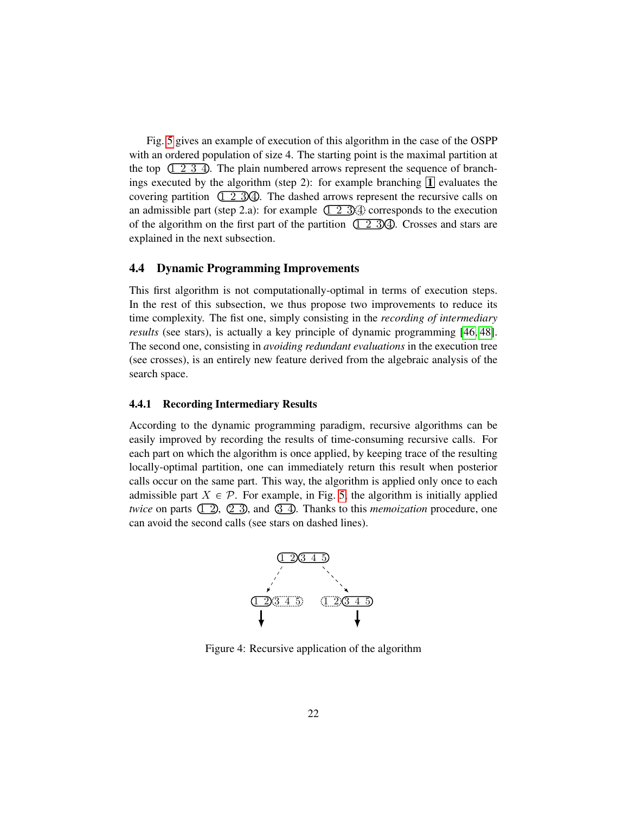Fig. [5](#page-24-0) gives an example of execution of this algorithm in the case of the OSPP with an ordered population of size 4. The starting point is the maximal partition at the top  $(1 2 3 4)$ . The plain numbered arrows represent the sequence of branchings executed by the algorithm (step 2): for example branching  $\prod$  evaluates the covering partition  $(1 \t2 \t3)$ . The dashed arrows represent the recursive calls on an admissible part (step 2.a): for example  $(1\ 2\ 3)$ 4 corresponds to the execution of the algorithm on the first part of the partition  $(1 \ 2 \ 3)$  4. Crosses and stars are explained in the next subsection.

#### <span id="page-23-0"></span>4.4 Dynamic Programming Improvements

This first algorithm is not computationally-optimal in terms of execution steps. In the rest of this subsection, we thus propose two improvements to reduce its time complexity. The fist one, simply consisting in the *recording of intermediary results* (see stars), is actually a key principle of dynamic programming [\[46,](#page-41-6) [48\]](#page-41-7). The second one, consisting in *avoiding redundant evaluations* in the execution tree (see crosses), is an entirely new feature derived from the algebraic analysis of the search space.

#### 4.4.1 Recording Intermediary Results

According to the dynamic programming paradigm, recursive algorithms can be easily improved by recording the results of time-consuming recursive calls. For each part on which the algorithm is once applied, by keeping trace of the resulting locally-optimal partition, one can immediately return this result when posterior calls occur on the same part. This way, the algorithm is applied only once to each admissible part  $X \in \mathcal{P}$ . For example, in Fig. [5,](#page-24-0) the algorithm is initially applied *twice* on parts  $(1, 2)$ ,  $(2, 3)$ , and  $(3, 4)$ . Thanks to this *memoization* procedure, one can avoid the second calls (see stars on dashed lines).



<span id="page-23-1"></span>Figure 4: Recursive application of the algorithm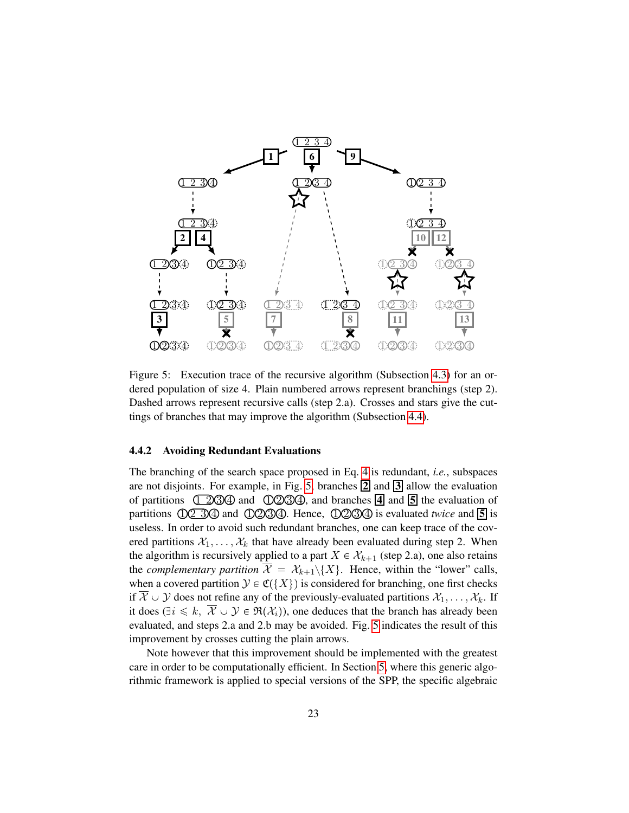

<span id="page-24-0"></span>Figure 5: Execution trace of the recursive algorithm (Subsection [4.3\)](#page-22-0) for an ordered population of size 4. Plain numbered arrows represent branchings (step 2). Dashed arrows represent recursive calls (step 2.a). Crosses and stars give the cuttings of branches that may improve the algorithm (Subsection [4.4\)](#page-23-0).

#### 4.4.2 Avoiding Redundant Evaluations

The branching of the search space proposed in Eq. [4](#page-21-4) is redundant, *i.e.*, subspaces are not disjoints. For example, in Fig. [5,](#page-24-0) branches  $\boxed{2}$  and  $\boxed{3}$  allow the evaluation of partitions  $(12)30$  and  $(12)230$ , and branches  $\overline{4}$  and  $\overline{5}$  the evaluation of partitions  $\overline{02}$  30 and  $\overline{00}$  30. Hence,  $\overline{00}$  30 is evaluated *twice* and **5** is useless. In order to avoid such redundant branches, one can keep trace of the covered partitions  $X_1, \ldots, X_k$  that have already been evaluated during step 2. When the algorithm is recursively applied to a part  $X \in \mathcal{X}_{k+1}$  (step 2.a), one also retains the *complementary partition*  $\overline{X} = X_{k+1} \setminus \{X\}$ . Hence, within the "lower" calls, when a covered partition  $\mathcal{Y} \in \mathfrak{C}(\{X\})$  is considered for branching, one first checks if  $\mathcal{X} \cup \mathcal{Y}$  does not refine any of the previously-evaluated partitions  $\mathcal{X}_1, \ldots, \mathcal{X}_k$ . If it does ( $\exists i \leq k$ ,  $\overline{\mathcal{X}} \cup \mathcal{Y} \in \mathfrak{R}(\mathcal{X}_i)$ ), one deduces that the branch has already been evaluated, and steps 2.a and 2.b may be avoided. Fig. [5](#page-24-0) indicates the result of this improvement by crosses cutting the plain arrows.

Note however that this improvement should be implemented with the greatest care in order to be computationally efficient. In Section [5,](#page-26-0) where this generic algorithmic framework is applied to special versions of the SPP, the specific algebraic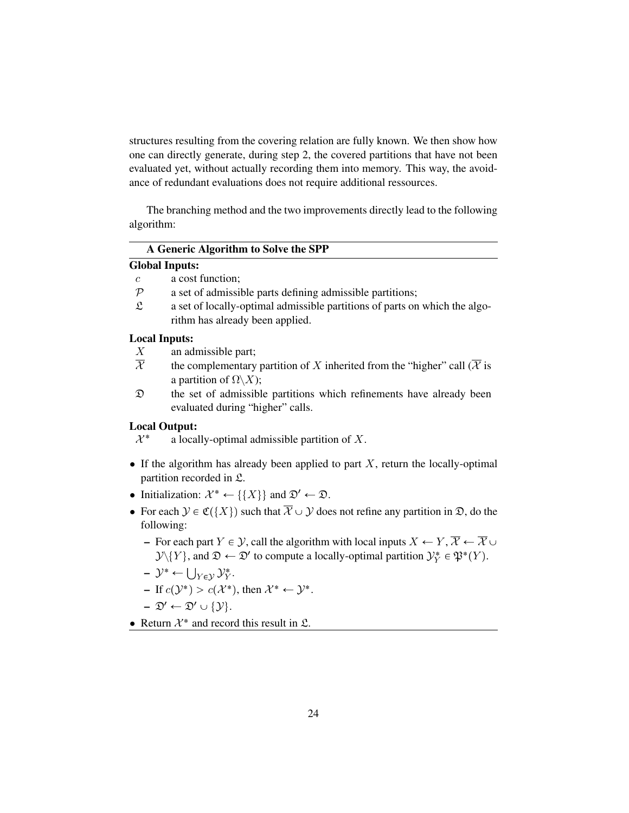structures resulting from the covering relation are fully known. We then show how one can directly generate, during step 2, the covered partitions that have not been evaluated yet, without actually recording them into memory. This way, the avoidance of redundant evaluations does not require additional ressources.

The branching method and the two improvements directly lead to the following algorithm:

#### A Generic Algorithm to Solve the SPP

#### Global Inputs:

- c a cost function;
- $P$  a set of admissible parts defining admissible partitions;
- $\mathfrak L$  a set of locally-optimal admissible partitions of parts on which the algorithm has already been applied.

#### Local Inputs:

- X an admissible part;
- $\overline{\mathcal{X}}$  the complementary partition of X inherited from the "higher" call ( $\overline{\mathcal{X}}$  is a partition of  $\Omega \backslash X$ ;
- D the set of admissible partitions which refinements have already been evaluated during "higher" calls.

#### Local Output:

 $\mathcal{X}^*$ a locally-optimal admissible partition of X.

- If the algorithm has already been applied to part  $X$ , return the locally-optimal partition recorded in L.
- Initialization:  $\mathcal{X}^* \leftarrow \{\{X\}\}\$ and  $\mathfrak{D}' \leftarrow \mathfrak{D}$ .
- For each  $\mathcal{Y} \in \mathfrak{C}(\{X\})$  such that  $\overline{\mathcal{X}} \cup \mathcal{Y}$  does not refine any partition in  $\mathfrak{D}$ , do the following:
	- For each part  $Y \in \mathcal{Y}$ , call the algorithm with local inputs  $X \leftarrow Y, \overline{X} \leftarrow \overline{X} \cup \overline{X}$  $\mathcal{Y}\setminus\{Y\}$ , and  $\mathfrak{D}\leftarrow \mathfrak{D}'$  to compute a locally-optimal partition  $\mathcal{Y}^*_Y\in \mathfrak{P}^*(Y)$ .
	- $-\mathcal{Y}^* \leftarrow \bigcup_{Y \in \mathcal{Y}} \mathcal{Y}_Y^*.$
	- If  $c(\mathcal{Y}^*) > c(\mathcal{X}^*)$ , then  $\mathcal{X}^* \leftarrow \mathcal{Y}^*$ .

$$
- \mathfrak{D}' \leftarrow \mathfrak{D}' \cup \{ \mathcal{Y} \}.
$$

• Return  $\mathcal{X}^*$  and record this result in  $\mathfrak{L}$ .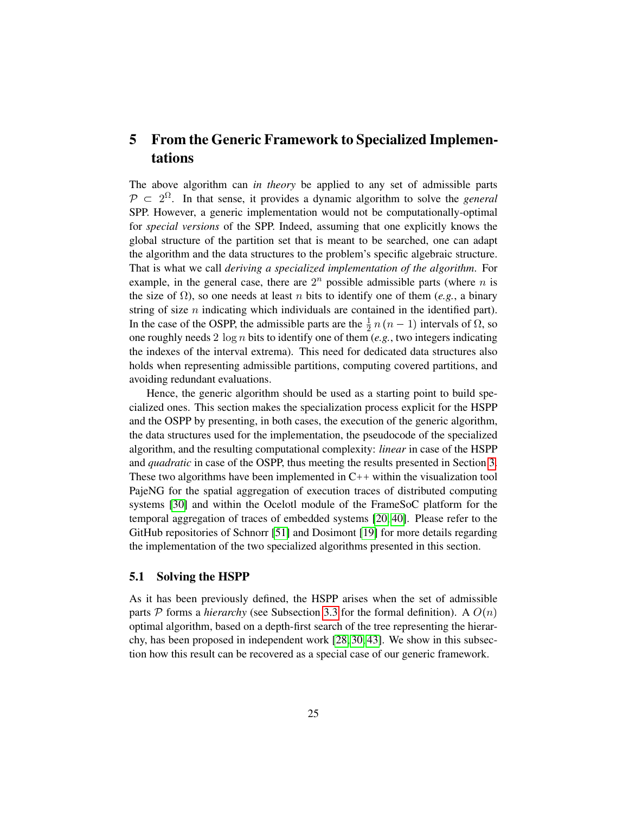## <span id="page-26-0"></span>5 From the Generic Framework to Specialized Implementations

The above algorithm can *in theory* be applied to any set of admissible parts  $P \subset 2^{\Omega}$ . In that sense, it provides a dynamic algorithm to solve the *general* SPP. However, a generic implementation would not be computationally-optimal for *special versions* of the SPP. Indeed, assuming that one explicitly knows the global structure of the partition set that is meant to be searched, one can adapt the algorithm and the data structures to the problem's specific algebraic structure. That is what we call *deriving a specialized implementation of the algorithm*. For example, in the general case, there are  $2^n$  possible admissible parts (where n is the size of  $\Omega$ ), so one needs at least *n* bits to identify one of them (*e.g.*, a binary string of size  $n$  indicating which individuals are contained in the identified part). In the case of the OSPP, the admissible parts are the  $\frac{1}{2}n(n-1)$  intervals of  $\Omega$ , so one roughly needs 2 log n bits to identify one of them (*e.g.*, two integers indicating the indexes of the interval extrema). This need for dedicated data structures also holds when representing admissible partitions, computing covered partitions, and avoiding redundant evaluations.

Hence, the generic algorithm should be used as a starting point to build specialized ones. This section makes the specialization process explicit for the HSPP and the OSPP by presenting, in both cases, the execution of the generic algorithm, the data structures used for the implementation, the pseudocode of the specialized algorithm, and the resulting computational complexity: *linear* in case of the HSPP and *quadratic* in case of the OSPP, thus meeting the results presented in Section [3.](#page-10-1) These two algorithms have been implemented in  $C_{++}$  within the visualization tool PajeNG for the spatial aggregation of execution traces of distributed computing systems [\[30\]](#page-40-0) and within the Ocelotl module of the FrameSoC platform for the temporal aggregation of traces of embedded systems [\[20,](#page-39-3) [40\]](#page-41-3). Please refer to the GitHub repositories of Schnorr [\[51\]](#page-41-18) and Dosimont [\[19\]](#page-38-15) for more details regarding the implementation of the two specialized algorithms presented in this section.

#### <span id="page-26-1"></span>5.1 Solving the HSPP

As it has been previously defined, the HSPP arises when the set of admissible parts P forms a *hierarchy* (see Subsection [3.3](#page-13-0) for the formal definition). A  $O(n)$ optimal algorithm, based on a depth-first search of the tree representing the hierarchy, has been proposed in independent work [\[28,](#page-39-1) [30,](#page-40-0) [43\]](#page-41-4). We show in this subsection how this result can be recovered as a special case of our generic framework.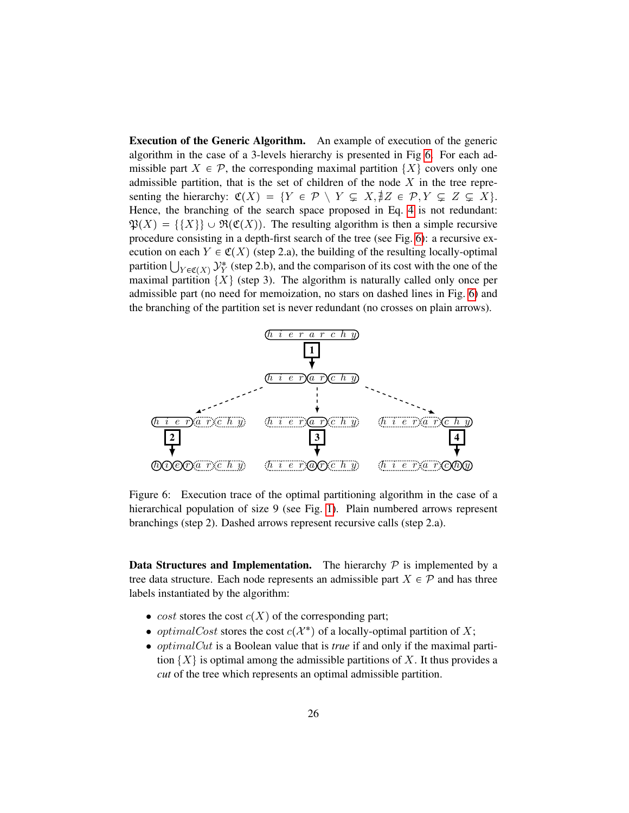Execution of the Generic Algorithm. An example of execution of the generic algorithm in the case of a 3-levels hierarchy is presented in Fig [6.](#page-27-0) For each admissible part  $X \in \mathcal{P}$ , the corresponding maximal partition  $\{X\}$  covers only one admissible partition, that is the set of children of the node  $X$  in the tree representing the hierarchy:  $\mathfrak{C}(X) = \{ Y \in \mathcal{P} \setminus Y \subsetneq X, \nexists Z \in \mathcal{P}, Y \subsetneq Z \subsetneq X \}.$ Hence, the branching of the search space proposed in Eq. [4](#page-21-4) is not redundant:  $\mathfrak{P}(X) = \{ \{X\} \} \cup \mathfrak{R}(\mathfrak{C}(X))$ . The resulting algorithm is then a simple recursive procedure consisting in a depth-first search of the tree (see Fig. [6\)](#page-27-0): a recursive execution on each  $Y \in \mathfrak{C}(X)$  (step 2.a), the building of the resulting locally-optimal partition  $\bigcup_{Y \in \mathfrak{C}(X)} \mathcal{Y}_Y^*$  (step 2.b), and the comparison of its cost with the one of the maximal partition  $\{X\}$  (step 3). The algorithm is naturally called only once per admissible part (no need for memoization, no stars on dashed lines in Fig. [6\)](#page-27-0) and the branching of the partition set is never redundant (no crosses on plain arrows).



<span id="page-27-0"></span>Figure 6: Execution trace of the optimal partitioning algorithm in the case of a hierarchical population of size 9 (see Fig. [1\)](#page-14-1). Plain numbered arrows represent branchings (step 2). Dashed arrows represent recursive calls (step 2.a).

**Data Structures and Implementation.** The hierarchy  $\mathcal{P}$  is implemented by a tree data structure. Each node represents an admissible part  $X \in \mathcal{P}$  and has three labels instantiated by the algorithm:

- cost stores the cost  $c(X)$  of the corresponding part;
- *optimalCost* stores the cost  $c(X^*)$  of a locally-optimal partition of X;
- optimalCut is a Boolean value that is *true* if and only if the maximal partition  $\{X\}$  is optimal among the admissible partitions of X. It thus provides a *cut* of the tree which represents an optimal admissible partition.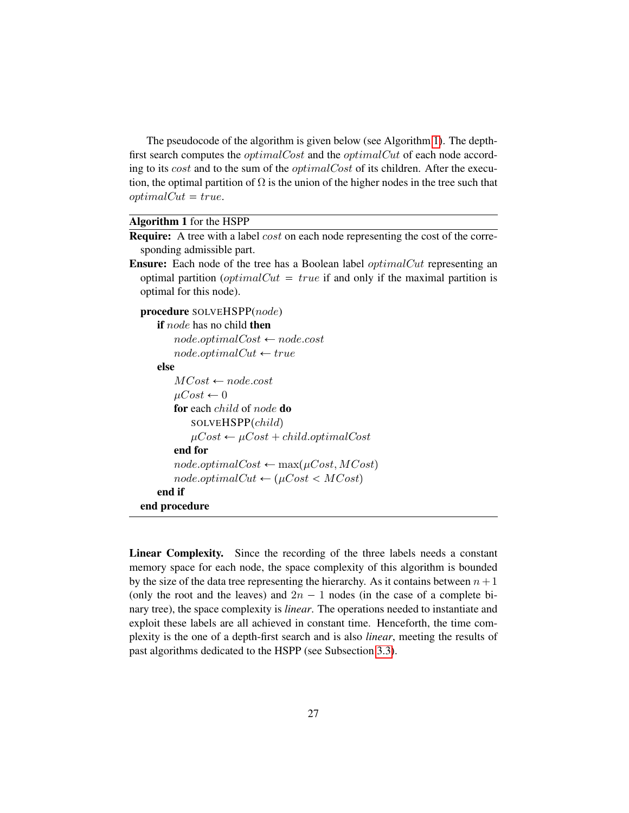The pseudocode of the algorithm is given below (see Algorithm [1\)](#page-28-0). The depthfirst search computes the *optimalCost* and the *optimalCut* of each node according to its cost and to the sum of the optimalCost of its children. After the execution, the optimal partition of  $\Omega$  is the union of the higher nodes in the tree such that  $optimalCut = true.$ 

#### <span id="page-28-0"></span>Algorithm 1 for the HSPP

**Require:** A tree with a label  $cost$  on each node representing the cost of the corresponding admissible part.

Ensure: Each node of the tree has a Boolean label *optimalCut* representing an optimal partition (*optimalCut = true* if and only if the maximal partition is optimal for this node).

```
procedure SOLVEHSPP(node)
    if node has no child then
        node. optimalCost \leftarrow node. costnode. optimalCut \leftarrow trueelse
        MCost \leftarrow node-cost\mu Cost \leftarrow 0for each child of node do
            SOLVEHSPP(child)\mu Cost \leftarrow \mu Cost + child. optimalCostend for
        node. optimalCost \leftarrow max(\mu Cost, MCost)node. optimalCut \leftarrow (\mu Cost < MCost)end if
end procedure
```
Linear Complexity. Since the recording of the three labels needs a constant memory space for each node, the space complexity of this algorithm is bounded by the size of the data tree representing the hierarchy. As it contains between  $n+1$ (only the root and the leaves) and  $2n - 1$  nodes (in the case of a complete binary tree), the space complexity is *linear*. The operations needed to instantiate and exploit these labels are all achieved in constant time. Henceforth, the time complexity is the one of a depth-first search and is also *linear*, meeting the results of past algorithms dedicated to the HSPP (see Subsection [3.3\)](#page-13-0).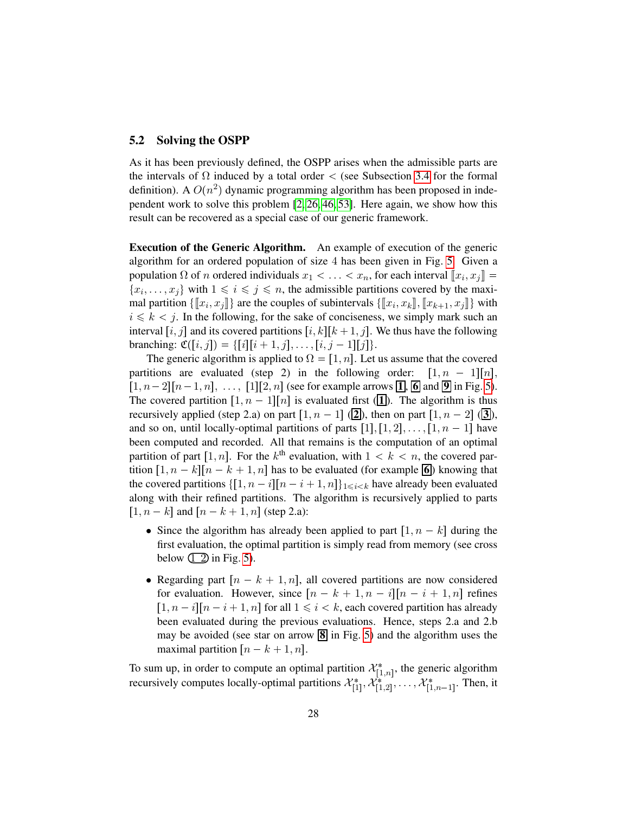#### 5.2 Solving the OSPP

As it has been previously defined, the OSPP arises when the admissible parts are the intervals of  $\Omega$  induced by a total order < (see Subsection [3.4](#page-14-0) for the formal definition). A  $O(n^2)$  dynamic programming algorithm has been proposed in independent work to solve this problem  $[2, 26, 46, 53]$  $[2, 26, 46, 53]$  $[2, 26, 46, 53]$  $[2, 26, 46, 53]$ . Here again, we show how this result can be recovered as a special case of our generic framework.

Execution of the Generic Algorithm. An example of execution of the generic algorithm for an ordered population of size 4 has been given in Fig. [5.](#page-24-0) Given a population  $\Omega$  of n ordered individuals  $x_1 < \ldots < x_n$ , for each interval  $\llbracket x_i, x_j \rrbracket =$  $\{x_i, \ldots, x_j\}$  with  $1 \leq i \leq j \leq n$ , the admissible partitions covered by the maximal partition  $\{\llbracket x_i, x_j \rrbracket\}$  are the couples of subintervals  $\{\llbracket x_i, x_k \rrbracket, \llbracket x_{k+1}, x_j \rrbracket\}$  with  $i \leq k \leq j$ . In the following, for the sake of conciseness, we simply mark such an interval  $[i, j]$  and its covered partitions  $[i, k][k + 1, j]$ . We thus have the following branching:  $\mathfrak{C}([i, j]) = \{ [i][i + 1, j], \ldots, [i, j - 1][j] \}.$ 

The generic algorithm is applied to  $\Omega = [1, n]$ . Let us assume that the covered partitions are evaluated (step 2) in the following order:  $[1, n - 1][n]$ ,  $\lceil1, n-2\rceil [n-1, n], \ldots, \lceil1\rceil [2, n]$  (see for example arrows  $\lceil1, \lceil6 \rceil$  and  $\lceil 9 \rceil$  in Fig. [5\)](#page-24-0). The covered partition  $[1, n - 1][n]$  is evaluated first (**1**). The algorithm is thus recursively applied (step 2.a) on part  $\lbrack 1, n - 1 \rbrack$  ( $\lbrack 2 \rbrack$ ), then on part  $\lbrack 1, n - 2 \rbrack$  ( $\lbrack 3 \rbrack$ ), and so on, until locally-optimal partitions of parts  $[1], [1, 2], \ldots, [1, n - 1]$  have been computed and recorded. All that remains is the computation of an optimal partition of part [1, n]. For the  $k^{\text{th}}$  evaluation, with  $1 \lt k \lt n$ , the covered partition  $[1, n - k][n - k + 1, n]$  has to be evaluated (for example  $\overline{6}$ ) knowing that the covered partitions  $\{[1, n - i][n - i + 1, n]\}_{1 \le i \le k}$  have already been evaluated along with their refined partitions. The algorithm is recursively applied to parts  $[1, n - k]$  and  $[n - k + 1, n]$  (step 2.a):

- Since the algorithm has already been applied to part  $\left[1, n k\right]$  during the first evaluation, the optimal partition is simply read from memory (see cross below  $\boxed{2}$  in Fig. [5\)](#page-24-0).
- Regarding part  $[n k + 1, n]$ , all covered partitions are now considered for evaluation. However, since  $\lfloor n - k + 1, n - i \rfloor [n - i + 1, n]$  refines  $\lfloor 1, n - i \rfloor [n - i + 1, n]$  for all  $1 \le i \le k$ , each covered partition has already been evaluated during the previous evaluations. Hence, steps 2.a and 2.b may be avoided (see star on arrow  $\boxed{8}$  in Fig. [5\)](#page-24-0) and the algorithm uses the maximal partition  $[n - k + 1, n]$ .

To sum up, in order to compute an optimal partition  $\mathcal{X}_{[1,n]}^*$ , the generic algorithm recursively computes locally-optimal partitions  $\mathcal{X}^*_{[1]}, \mathcal{X}^*_{[1,2]}, \ldots, \mathcal{X}^*_{[1,n-1]}$ . Then, it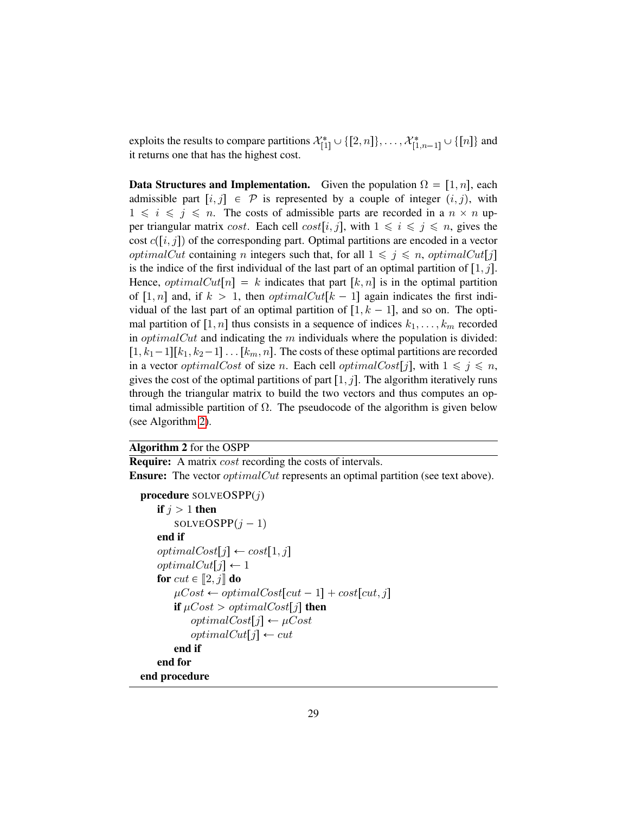exploits the results to compare partitions  $\mathcal{X}_{[1]}^* \cup \{[2,n]\}, \ldots, \mathcal{X}_{[1,n-1]}^* \cup \{[n]\}$  and it returns one that has the highest cost.

**Data Structures and Implementation.** Given the population  $\Omega = [1, n]$ , each admissible part  $[i, j] \in \mathcal{P}$  is represented by a couple of integer  $(i, j)$ , with  $1 \leq i \leq j \leq n$ . The costs of admissible parts are recorded in a  $n \times n$  upper triangular matrix cost. Each cell  $cost[i, j]$ , with  $1 \leq i \leq j \leq n$ , gives the cost  $c([i, j])$  of the corresponding part. Optimal partitions are encoded in a vector *optimalCut* containing *n* integers such that, for all  $1 \leq j \leq n$ , *optimalCut*[j] is the indice of the first individual of the last part of an optimal partition of  $[1, j]$ . Hence, *optimalCut*[n] = k indicates that part [k, n] is in the optimal partition of [1, n] and, if  $k > 1$ , then *optimalCut*[ $k - 1$ ] again indicates the first individual of the last part of an optimal partition of  $[1, k - 1]$ , and so on. The optimal partition of  $\lfloor 1, n \rfloor$  thus consists in a sequence of indices  $k_1, \ldots, k_m$  recorded in *optimalCut* and indicating the  $m$  individuals where the population is divided:  $[1, k_1-1][k_1, k_2-1] \dots [k_m, n]$ . The costs of these optimal partitions are recorded in a vector *optimalCost* of size *n*. Each cell *optimalCost*[j], with  $1 \leq j \leq n$ , gives the cost of the optimal partitions of part  $[1, j]$ . The algorithm iteratively runs through the triangular matrix to build the two vectors and thus computes an optimal admissible partition of  $Ω$ . The pseudocode of the algorithm is given below (see Algorithm [2\)](#page-30-0).

#### <span id="page-30-0"></span>Algorithm 2 for the OSPP

**Require:** A matrix *cost* recording the costs of intervals.

**Ensure:** The vector *optimalCut* represents an optimal partition (see text above).

```
procedure SOLVEOSPP(j)if i > 1 then
        SOLVEOSP[i - 1]end if
    optimalCost[j] \leftarrow cost[1, j]optimalCut[j] \leftarrow 1for cut \in [2, j] do
        \mu Cost \leftarrow optimalCost[cut - 1] + cost[cut, j]if \mu Cost > optimalCost[j] then
            optimalCost[j] \leftarrow \mu CostoptimalCut[j] \leftarrow cutend if
    end for
end procedure
```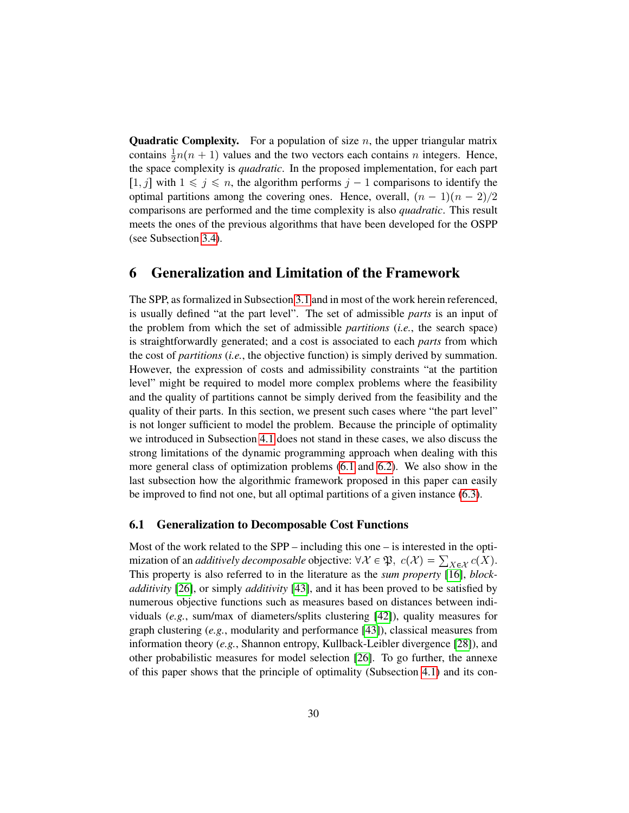**Quadratic Complexity.** For a population of size  $n$ , the upper triangular matrix contains  $\frac{1}{2}n(n + 1)$  values and the two vectors each contains n integers. Hence, the space complexity is *quadratic*. In the proposed implementation, for each part  $\left[1, j\right]$  with  $1 \leq j \leq n$ , the algorithm performs  $j - 1$  comparisons to identify the optimal partitions among the covering ones. Hence, overall,  $(n - 1)(n - 2)/2$ comparisons are performed and the time complexity is also *quadratic*. This result meets the ones of the previous algorithms that have been developed for the OSPP (see Subsection [3.4\)](#page-14-0).

### <span id="page-31-0"></span>6 Generalization and Limitation of the Framework

The SPP, as formalized in Subsection [3.1](#page-10-0) and in most of the work herein referenced, is usually defined "at the part level". The set of admissible *parts* is an input of the problem from which the set of admissible *partitions* (*i.e.*, the search space) is straightforwardly generated; and a cost is associated to each *parts* from which the cost of *partitions* (*i.e.*, the objective function) is simply derived by summation. However, the expression of costs and admissibility constraints "at the partition level" might be required to model more complex problems where the feasibility and the quality of partitions cannot be simply derived from the feasibility and the quality of their parts. In this section, we present such cases where "the part level" is not longer sufficient to model the problem. Because the principle of optimality we introduced in Subsection [4.1](#page-19-1) does not stand in these cases, we also discuss the strong limitations of the dynamic programming approach when dealing with this more general class of optimization problems [\(6.1](#page-31-1) and [6.2\)](#page-32-0). We also show in the last subsection how the algorithmic framework proposed in this paper can easily be improved to find not one, but all optimal partitions of a given instance [\(6.3\)](#page-33-0).

#### <span id="page-31-1"></span>6.1 Generalization to Decomposable Cost Functions

Most of the work related to the SPP – including this one – is interested in the optimization of an *additively decomposable* objective:  $\forall X \in \mathfrak{P}, \ c(\mathcal{X}) = \sum_{X \in \mathcal{X}} c(X)$ . This property is also referred to in the literature as the *sum property* [\[16\]](#page-38-16), *blockadditivity* [\[26\]](#page-39-2), or simply *additivity* [\[43\]](#page-41-4), and it has been proved to be satisfied by numerous objective functions such as measures based on distances between individuals (*e.g.*, sum/max of diameters/splits clustering [\[42\]](#page-41-8)), quality measures for graph clustering (*e.g.*, modularity and performance [\[43\]](#page-41-4)), classical measures from information theory (*e.g.*, Shannon entropy, Kullback-Leibler divergence [\[28\]](#page-39-1)), and other probabilistic measures for model selection [\[26\]](#page-39-2). To go further, the annexe of this paper shows that the principle of optimality (Subsection [4.1\)](#page-19-1) and its con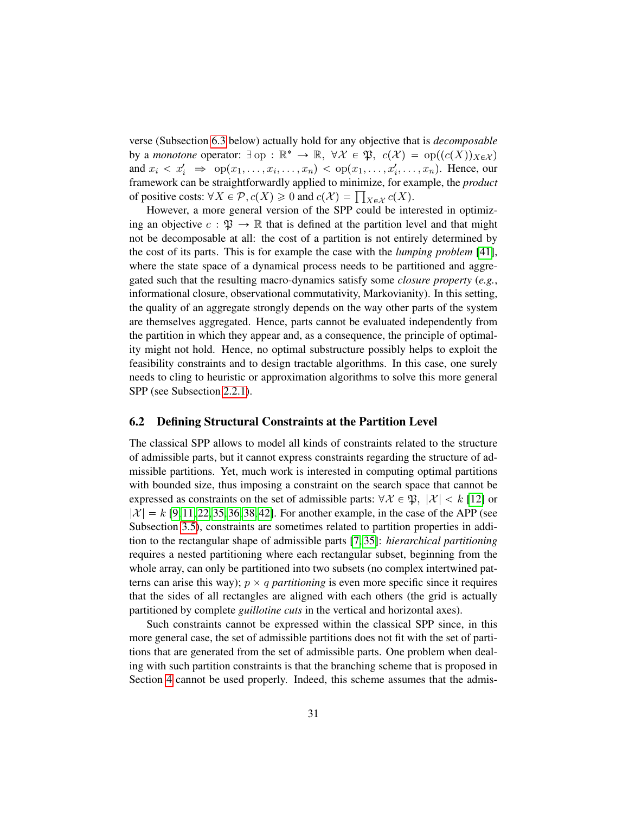verse (Subsection [6.3](#page-33-0) below) actually hold for any objective that is *decomposable* by a *monotone* operator:  $\exists$  op :  $\mathbb{R}^* \to \mathbb{R}$ ,  $\forall \mathcal{X} \in \mathfrak{P}$ ,  $c(\mathcal{X}) = op((c(X))_{X \in \mathcal{X}})$ and  $x_i \lt x'_i \Rightarrow \text{op}(x_1, \ldots, x_i, \ldots, x_n) \lt \text{op}(x_1, \ldots, x'_i, \ldots, x_n)$ . Hence, our framework can be straightforwardly applied to minimize, for example, the *product* of positive costs:  $\forall X \in \mathcal{P}, c(X) \geq 0$  and  $c(\mathcal{X}) = \prod_{X \in \mathcal{X}} c(X)$ .

However, a more general version of the SPP could be interested in optimizing an objective  $c : \mathfrak{P} \to \mathbb{R}$  that is defined at the partition level and that might not be decomposable at all: the cost of a partition is not entirely determined by the cost of its parts. This is for example the case with the *lumping problem* [\[41\]](#page-41-19), where the state space of a dynamical process needs to be partitioned and aggregated such that the resulting macro-dynamics satisfy some *closure property* (*e.g.*, informational closure, observational commutativity, Markovianity). In this setting, the quality of an aggregate strongly depends on the way other parts of the system are themselves aggregated. Hence, parts cannot be evaluated independently from the partition in which they appear and, as a consequence, the principle of optimality might not hold. Hence, no optimal substructure possibly helps to exploit the feasibility constraints and to design tractable algorithms. In this case, one surely needs to cling to heuristic or approximation algorithms to solve this more general SPP (see Subsection [2.2.1\)](#page-8-1).

#### <span id="page-32-0"></span>6.2 Defining Structural Constraints at the Partition Level

The classical SPP allows to model all kinds of constraints related to the structure of admissible parts, but it cannot express constraints regarding the structure of admissible partitions. Yet, much work is interested in computing optimal partitions with bounded size, thus imposing a constraint on the search space that cannot be expressed as constraints on the set of admissible parts:  $\forall \mathcal{X} \in \mathfrak{P}, |\mathcal{X}| < k$  [\[12\]](#page-38-0) or  $|\mathcal{X}| = k$  [\[9,](#page-38-1) [11,](#page-38-4) [22,](#page-39-12) [35,](#page-40-2) [36,](#page-40-4) [38,](#page-40-1) [42\]](#page-41-8). For another example, in the case of the APP (see Subsection [3.5\)](#page-15-0), constraints are sometimes related to partition properties in addition to the rectangular shape of admissible parts [\[7,](#page-38-8) [35\]](#page-40-2): *hierarchical partitioning* requires a nested partitioning where each rectangular subset, beginning from the whole array, can only be partitioned into two subsets (no complex intertwined patterns can arise this way);  $p \times q$  *partitioning* is even more specific since it requires that the sides of all rectangles are aligned with each others (the grid is actually partitioned by complete *guillotine cuts* in the vertical and horizontal axes).

Such constraints cannot be expressed within the classical SPP since, in this more general case, the set of admissible partitions does not fit with the set of partitions that are generated from the set of admissible parts. One problem when dealing with such partition constraints is that the branching scheme that is proposed in Section [4](#page-19-0) cannot be used properly. Indeed, this scheme assumes that the admis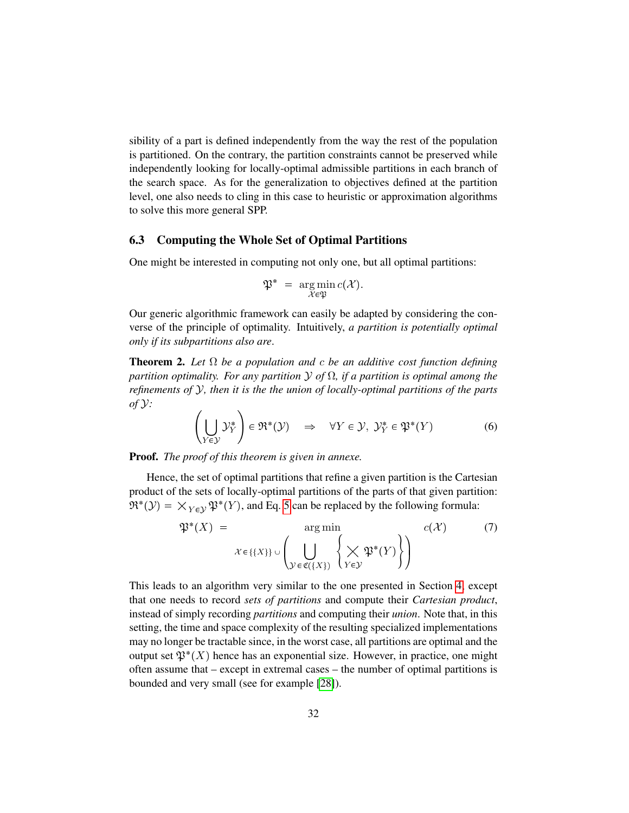sibility of a part is defined independently from the way the rest of the population is partitioned. On the contrary, the partition constraints cannot be preserved while independently looking for locally-optimal admissible partitions in each branch of the search space. As for the generalization to objectives defined at the partition level, one also needs to cling in this case to heuristic or approximation algorithms to solve this more general SPP.

#### <span id="page-33-0"></span>6.3 Computing the Whole Set of Optimal Partitions

One might be interested in computing not only one, but all optimal partitions:

$$
\mathfrak{P}^* = \argmin_{\mathcal{X} \in \mathfrak{P}} c(\mathcal{X}).
$$

Our generic algorithmic framework can easily be adapted by considering the converse of the principle of optimality. Intuitively, *a partition is potentially optimal only if its subpartitions also are*.

<span id="page-33-1"></span>Theorem 2. *Let* Ω *be a population and* c *be an additive cost function defining partition optimality. For any partition* Y *of* Ω*, if a partition is optimal among the refinements of* Y*, then it is the the union of locally-optimal partitions of the parts of* Y*:*

$$
\left(\bigcup_{Y \in \mathcal{Y}} \mathcal{Y}_Y^*\right) \in \mathfrak{R}^*(\mathcal{Y}) \quad \Rightarrow \quad \forall Y \in \mathcal{Y}, \ \mathcal{Y}_Y^* \in \mathfrak{P}^*(Y) \tag{6}
$$

Proof. *The proof of this theorem is given in annexe.*

Hence, the set of optimal partitions that refine a given partition is the Cartesian product of the sets of locally-optimal partitions of the parts of that given partition:  $\mathfrak{R}^*(\mathcal{Y}) = \times_{Y \in \mathcal{Y}} \mathfrak{P}^*(Y)$ , and Eq. [5](#page-22-2) can be replaced by the following formula:

$$
\mathfrak{P}^*(X) = \underset{\mathcal{X} \in \{\{X\}\} \cup \left(\bigcup_{\mathcal{Y} \in \mathfrak{C}(\{X\})} \left\{\bigtimes_{Y \in \mathcal{Y}} \mathfrak{P}^*(Y)\right\}\right)}{c(\mathcal{X})}
$$
(7)

This leads to an algorithm very similar to the one presented in Section [4,](#page-19-0) except that one needs to record *sets of partitions* and compute their *Cartesian product*, instead of simply recording *partitions* and computing their *union*. Note that, in this setting, the time and space complexity of the resulting specialized implementations may no longer be tractable since, in the worst case, all partitions are optimal and the output set  $\mathfrak{P}^*(X)$  hence has an exponential size. However, in practice, one might often assume that – except in extremal cases – the number of optimal partitions is bounded and very small (see for example [\[28\]](#page-39-1)).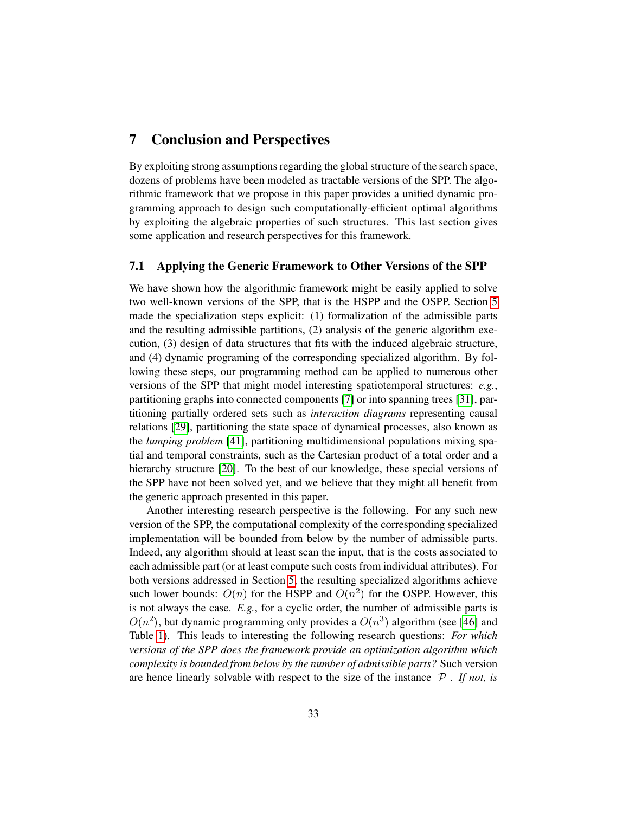## <span id="page-34-0"></span>7 Conclusion and Perspectives

By exploiting strong assumptions regarding the global structure of the search space, dozens of problems have been modeled as tractable versions of the SPP. The algorithmic framework that we propose in this paper provides a unified dynamic programming approach to design such computationally-efficient optimal algorithms by exploiting the algebraic properties of such structures. This last section gives some application and research perspectives for this framework.

#### 7.1 Applying the Generic Framework to Other Versions of the SPP

We have shown how the algorithmic framework might be easily applied to solve two well-known versions of the SPP, that is the HSPP and the OSPP. Section [5](#page-26-0) made the specialization steps explicit: (1) formalization of the admissible parts and the resulting admissible partitions, (2) analysis of the generic algorithm execution, (3) design of data structures that fits with the induced algebraic structure, and (4) dynamic programing of the corresponding specialized algorithm. By following these steps, our programming method can be applied to numerous other versions of the SPP that might model interesting spatiotemporal structures: *e.g.*, partitioning graphs into connected components [\[7\]](#page-38-8) or into spanning trees [\[31\]](#page-40-3), partitioning partially ordered sets such as *interaction diagrams* representing causal relations [\[29\]](#page-39-13), partitioning the state space of dynamical processes, also known as the *lumping problem* [\[41\]](#page-41-19), partitioning multidimensional populations mixing spatial and temporal constraints, such as the Cartesian product of a total order and a hierarchy structure [\[20\]](#page-39-3). To the best of our knowledge, these special versions of the SPP have not been solved yet, and we believe that they might all benefit from the generic approach presented in this paper.

Another interesting research perspective is the following. For any such new version of the SPP, the computational complexity of the corresponding specialized implementation will be bounded from below by the number of admissible parts. Indeed, any algorithm should at least scan the input, that is the costs associated to each admissible part (or at least compute such costs from individual attributes). For both versions addressed in Section [5,](#page-26-0) the resulting specialized algorithms achieve such lower bounds:  $O(n)$  for the HSPP and  $O(n^2)$  for the OSPP. However, this is not always the case. *E.g.*, for a cyclic order, the number of admissible parts is  $O(n^2)$ , but dynamic programming only provides a  $O(n^3)$  algorithm (see [\[46\]](#page-41-6) and Table [1\)](#page-17-0). This leads to interesting the following research questions: *For which versions of the SPP does the framework provide an optimization algorithm which complexity is bounded from below by the number of admissible parts?* Such version are hence linearly solvable with respect to the size of the instance  $|\mathcal{P}|$ . If not, is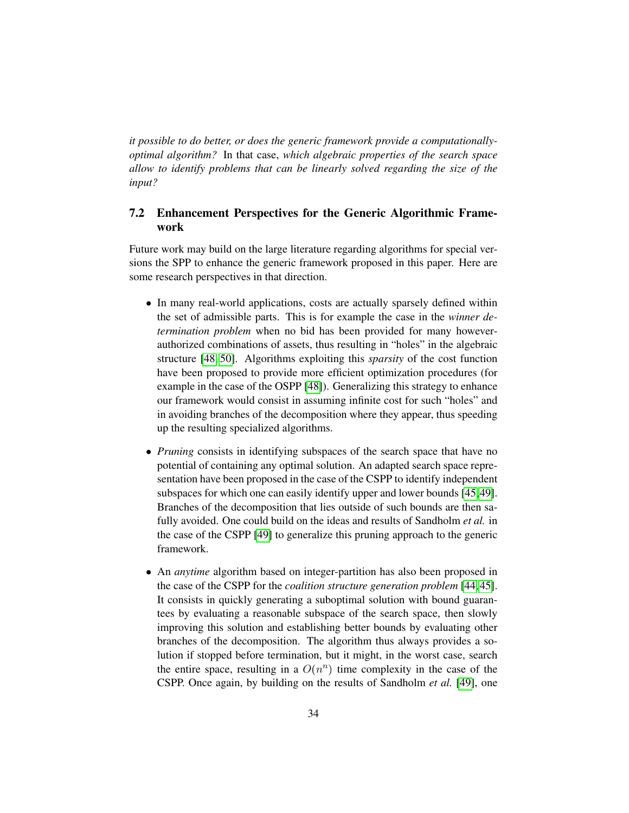*it possible to do better, or does the generic framework provide a computationallyoptimal algorithm?* In that case, *which algebraic properties of the search space allow to identify problems that can be linearly solved regarding the size of the input?*

#### 7.2 Enhancement Perspectives for the Generic Algorithmic Framework

Future work may build on the large literature regarding algorithms for special versions the SPP to enhance the generic framework proposed in this paper. Here are some research perspectives in that direction.

- In many real-world applications, costs are actually sparsely defined within the set of admissible parts. This is for example the case in the *winner determination problem* when no bid has been provided for many howeverauthorized combinations of assets, thus resulting in "holes" in the algebraic structure [\[48,](#page-41-7) [50\]](#page-41-5). Algorithms exploiting this *sparsity* of the cost function have been proposed to provide more efficient optimization procedures (for example in the case of the OSPP [\[48\]](#page-41-7)). Generalizing this strategy to enhance our framework would consist in assuming infinite cost for such "holes" and in avoiding branches of the decomposition where they appear, thus speeding up the resulting specialized algorithms.
- *Pruning* consists in identifying subspaces of the search space that have no potential of containing any optimal solution. An adapted search space representation have been proposed in the case of the CSPP to identify independent subspaces for which one can easily identify upper and lower bounds [\[45,](#page-41-1)[49\]](#page-41-2). Branches of the decomposition that lies outside of such bounds are then safully avoided. One could build on the ideas and results of Sandholm *et al.* in the case of the CSPP [\[49\]](#page-41-2) to generalize this pruning approach to the generic framework.
- An *anytime* algorithm based on integer-partition has also been proposed in the case of the CSPP for the *coalition structure generation problem* [\[44,](#page-41-0) [45\]](#page-41-1). It consists in quickly generating a suboptimal solution with bound guarantees by evaluating a reasonable subspace of the search space, then slowly improving this solution and establishing better bounds by evaluating other branches of the decomposition. The algorithm thus always provides a solution if stopped before termination, but it might, in the worst case, search the entire space, resulting in a  $O(n^n)$  time complexity in the case of the CSPP. Once again, by building on the results of Sandholm *et al.* [\[49\]](#page-41-2), one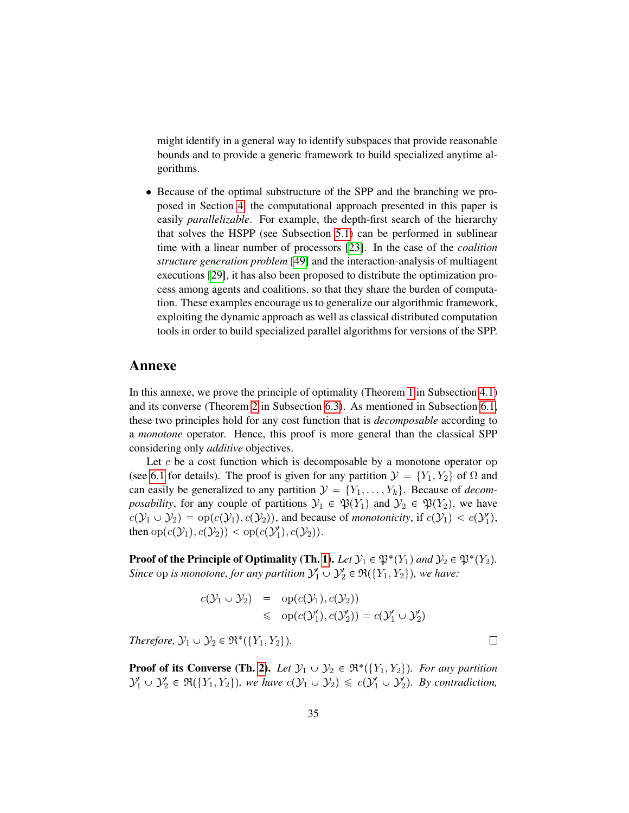might identify in a general way to identify subspaces that provide reasonable bounds and to provide a generic framework to build specialized anytime algorithms.

• Because of the optimal substructure of the SPP and the branching we proposed in Section [4,](#page-19-0) the computational approach presented in this paper is easily *parallelizable*. For example, the depth-first search of the hierarchy that solves the HSPP (see Subsection [5.1\)](#page-26-1) can be performed in sublinear time with a linear number of processors [\[23\]](#page-39-14). In the case of the *coalition structure generation problem* [\[49\]](#page-41-2) and the interaction-analysis of multiagent executions [\[29\]](#page-39-13), it has also been proposed to distribute the optimization process among agents and coalitions, so that they share the burden of computation. These examples encourage us to generalize our algorithmic framework, exploiting the dynamic approach as well as classical distributed computation tools in order to build specialized parallel algorithms for versions of the SPP.

#### Annexe

In this annexe, we prove the principle of optimality (Theorem [1](#page-21-5) in Subsection [4.1\)](#page-19-1) and its converse (Theorem [2](#page-33-1) in Subsection [6.3\)](#page-33-0). As mentioned in Subsection [6.1,](#page-31-1) these two principles hold for any cost function that is *decomposable* according to a *monotone* operator. Hence, this proof is more general than the classical SPP considering only *additive* objectives.

Let  $c$  be a cost function which is decomposable by a monotone operator op (see [6.1](#page-31-1) for details). The proof is given for any partition  $\mathcal{Y} = \{Y_1, Y_2\}$  of  $\Omega$  and can easily be generalized to any partition  $\mathcal{Y} = \{Y_1, \ldots, Y_k\}$ . Because of *decomposability*, for any couple of partitions  $\mathcal{Y}_1 \in \mathfrak{P}(Y_1)$  and  $\mathcal{Y}_2 \in \mathfrak{P}(Y_2)$ , we have  $c(\mathcal{Y}_1 \cup \mathcal{Y}_2) = \text{op}(c(\mathcal{Y}_1), c(\mathcal{Y}_2))$ , and because of *monotonicity*, if  $c(\mathcal{Y}_1) < c(\mathcal{Y}'_1)$ , then  $op(c(\mathcal{Y}_1), c(\mathcal{Y}_2)) < op(c(\mathcal{Y}'_1), c(\mathcal{Y}_2)).$ 

**Proof of the Principle of Optimality (Th. [1\)](#page-21-5).** Let  $\mathcal{Y}_1 \in \mathfrak{P}^*(Y_1)$  and  $\mathcal{Y}_2 \in \mathfrak{P}^*(Y_2)$ . *Since* op *is monotone, for any partition*  $\mathcal{Y}'_1 \cup \mathcal{Y}'_2 \in \mathfrak{R}(\{Y_1, Y_2\})$ *, we have:* 

$$
c(\mathcal{Y}_1 \cup \mathcal{Y}_2) = \text{op}(c(\mathcal{Y}_1), c(\mathcal{Y}_2))
$$
  
\$\leq\$ op( $c(\mathcal{Y}_1'), c(\mathcal{Y}_2')$ ) =  $c(\mathcal{Y}_1' \cup \mathcal{Y}_2')$ 

*Therefore,*  $\mathcal{Y}_1 \cup \mathcal{Y}_2 \in \mathfrak{R}^*(\{Y_1, Y_2\}).$ 

**Proof of its Converse (Th. [2\)](#page-33-1).** Let  $\mathcal{Y}_1 \cup \mathcal{Y}_2 \in \mathfrak{R}^*(\{Y_1, Y_2\})$ . For any partition  $\mathcal{Y}_1' \cup \mathcal{Y}_2' \in \mathfrak{R}(\{Y_1, Y_2\}),$  we have  $c(\mathcal{Y}_1 \cup \mathcal{Y}_2) \leqslant c(\mathcal{Y}_1' \cup \mathcal{Y}_2').$  By contradiction,

 $\Box$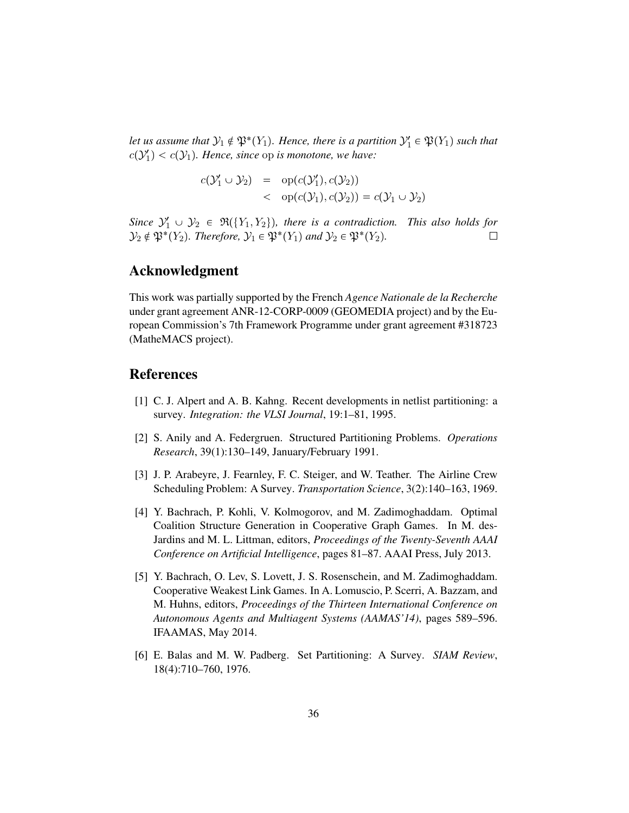<span id="page-37-7"></span>Let us assume that  $\mathcal{Y}_1 \notin \mathfrak{P}^*(Y_1)$ . Hence, there is a partition  $\mathcal{Y}'_1 \in \mathfrak{P}(Y_1)$  such that  $c(\mathcal{Y}_1') < c(\mathcal{Y}_1)$ . Hence, since op *is monotone, we have:* 

<span id="page-37-9"></span><span id="page-37-8"></span><span id="page-37-6"></span>
$$
c(\mathcal{Y}_1' \cup \mathcal{Y}_2) = op(c(\mathcal{Y}_1'), c(\mathcal{Y}_2))
$$
  

$$
op(c(\mathcal{Y}_1), c(\mathcal{Y}_2)) = c(\mathcal{Y}_1 \cup \mathcal{Y}_2)
$$

Since  $\mathcal{Y}'_1 \cup \mathcal{Y}_2 \in \mathfrak{R}(\{Y_1, Y_2\})$ , there is a contradiction. This also holds for  $\mathcal{Y}_2 \notin \mathfrak{P}^*(Y_2)$ . Therefore,  $\mathcal{Y}_1 \in \mathfrak{P}^*(Y_1)$  and  $\mathcal{Y}_2 \in \mathfrak{P}^*(Y_2)$ .  $\Box$ 

## Acknowledgment

This work was partially supported by the French *Agence Nationale de la Recherche* under grant agreement ANR-12-CORP-0009 (GEOMEDIA project) and by the European Commission's 7th Framework Programme under grant agreement #318723 (MatheMACS project).

## References

- <span id="page-37-5"></span>[1] C. J. Alpert and A. B. Kahng. Recent developments in netlist partitioning: a survey. *Integration: the VLSI Journal*, 19:1–81, 1995.
- <span id="page-37-2"></span>[2] S. Anily and A. Federgruen. Structured Partitioning Problems. *Operations Research*, 39(1):130–149, January/February 1991.
- <span id="page-37-4"></span>[3] J. P. Arabeyre, J. Fearnley, F. C. Steiger, and W. Teather. The Airline Crew Scheduling Problem: A Survey. *Transportation Science*, 3(2):140–163, 1969.
- <span id="page-37-0"></span>[4] Y. Bachrach, P. Kohli, V. Kolmogorov, and M. Zadimoghaddam. Optimal Coalition Structure Generation in Cooperative Graph Games. In M. des-Jardins and M. L. Littman, editors, *Proceedings of the Twenty-Seventh AAAI Conference on Artificial Intelligence*, pages 81–87. AAAI Press, July 2013.
- <span id="page-37-1"></span>[5] Y. Bachrach, O. Lev, S. Lovett, J. S. Rosenschein, and M. Zadimoghaddam. Cooperative Weakest Link Games. In A. Lomuscio, P. Scerri, A. Bazzam, and M. Huhns, editors, *Proceedings of the Thirteen International Conference on Autonomous Agents and Multiagent Systems (AAMAS'14)*, pages 589–596. IFAAMAS, May 2014.
- <span id="page-37-3"></span>[6] E. Balas and M. W. Padberg. Set Partitioning: A Survey. *SIAM Review*, 18(4):710–760, 1976.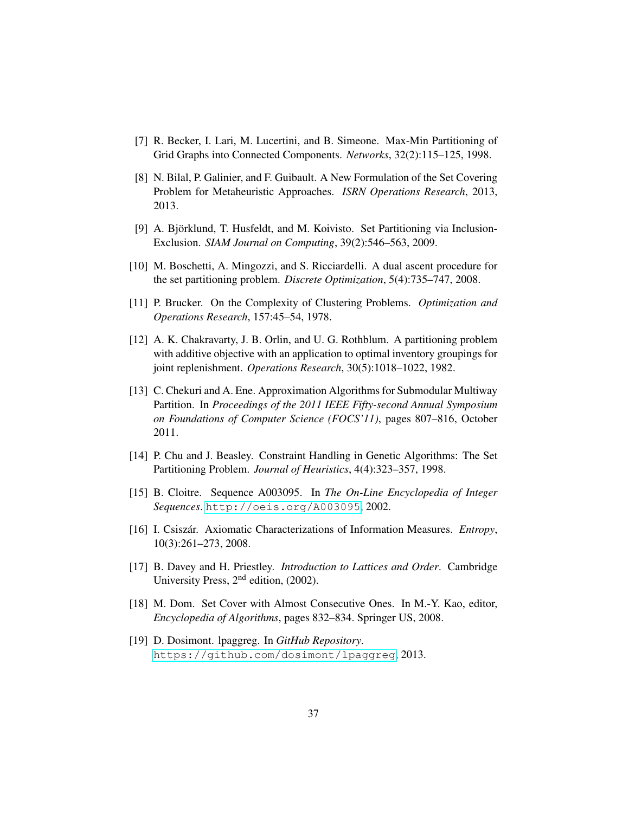- <span id="page-38-13"></span><span id="page-38-12"></span><span id="page-38-11"></span><span id="page-38-10"></span><span id="page-38-8"></span>[7] R. Becker, I. Lari, M. Lucertini, and B. Simeone. Max-Min Partitioning of Grid Graphs into Connected Components. *Networks*, 32(2):115–125, 1998.
- <span id="page-38-5"></span>[8] N. Bilal, P. Galinier, and F. Guibault. A New Formulation of the Set Covering Problem for Metaheuristic Approaches. *ISRN Operations Research*, 2013, 2013.
- <span id="page-38-1"></span>[9] A. Björklund, T. Husfeldt, and M. Koivisto. Set Partitioning via Inclusion-Exclusion. *SIAM Journal on Computing*, 39(2):546–563, 2009.
- <span id="page-38-3"></span>[10] M. Boschetti, A. Mingozzi, and S. Ricciardelli. A dual ascent procedure for the set partitioning problem. *Discrete Optimization*, 5(4):735–747, 2008.
- <span id="page-38-4"></span>[11] P. Brucker. On the Complexity of Clustering Problems. *Optimization and Operations Research*, 157:45–54, 1978.
- <span id="page-38-0"></span>[12] A. K. Chakravarty, J. B. Orlin, and U. G. Rothblum. A partitioning problem with additive objective with an application to optimal inventory groupings for joint replenishment. *Operations Research*, 30(5):1018–1022, 1982.
- <span id="page-38-2"></span>[13] C. Chekuri and A. Ene. Approximation Algorithms for Submodular Multiway Partition. In *Proceedings of the 2011 IEEE Fifty-second Annual Symposium on Foundations of Computer Science (FOCS'11)*, pages 807–816, October 2011.
- <span id="page-38-6"></span>[14] P. Chu and J. Beasley. Constraint Handling in Genetic Algorithms: The Set Partitioning Problem. *Journal of Heuristics*, 4(4):323–357, 1998.
- <span id="page-38-9"></span>[15] B. Cloitre. Sequence A003095. In *The On-Line Encyclopedia of Integer Sequences*. <http://oeis.org/A003095>, 2002.
- <span id="page-38-16"></span>[16] I. Csiszár. Axiomatic Characterizations of Information Measures. *Entropy*, 10(3):261–273, 2008.
- <span id="page-38-14"></span>[17] B. Davey and H. Priestley. *Introduction to Lattices and Order*. Cambridge University Press, 2<sup>nd</sup> edition, (2002).
- <span id="page-38-7"></span>[18] M. Dom. Set Cover with Almost Consecutive Ones. In M.-Y. Kao, editor, *Encyclopedia of Algorithms*, pages 832–834. Springer US, 2008.
- <span id="page-38-15"></span>[19] D. Dosimont. lpaggreg. In *GitHub Repository*. <https://github.com/dosimont/lpaggreg>, 2013.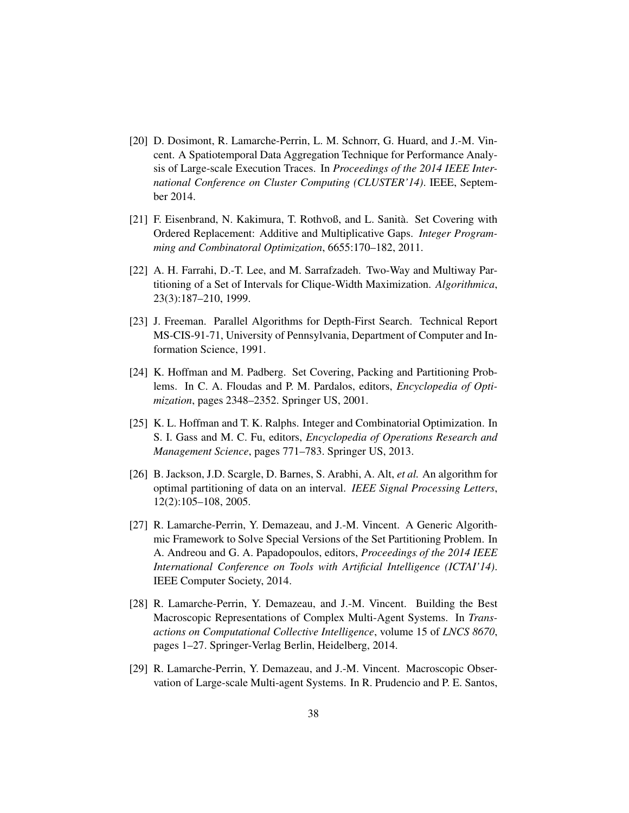- <span id="page-39-11"></span><span id="page-39-10"></span><span id="page-39-9"></span><span id="page-39-8"></span><span id="page-39-7"></span><span id="page-39-3"></span>[20] D. Dosimont, R. Lamarche-Perrin, L. M. Schnorr, G. Huard, and J.-M. Vincent. A Spatiotemporal Data Aggregation Technique for Performance Analysis of Large-scale Execution Traces. In *Proceedings of the 2014 IEEE International Conference on Cluster Computing (CLUSTER'14)*. IEEE, September 2014.
- <span id="page-39-6"></span>[21] F. Eisenbrand, N. Kakimura, T. Rothvoß, and L. Sanità. Set Covering with Ordered Replacement: Additive and Multiplicative Gaps. *Integer Programming and Combinatoral Optimization*, 6655:170–182, 2011.
- <span id="page-39-12"></span>[22] A. H. Farrahi, D.-T. Lee, and M. Sarrafzadeh. Two-Way and Multiway Partitioning of a Set of Intervals for Clique-Width Maximization. *Algorithmica*, 23(3):187–210, 1999.
- <span id="page-39-14"></span>[23] J. Freeman. Parallel Algorithms for Depth-First Search. Technical Report MS-CIS-91-71, University of Pennsylvania, Department of Computer and Information Science, 1991.
- <span id="page-39-4"></span>[24] K. Hoffman and M. Padberg. Set Covering, Packing and Partitioning Problems. In C. A. Floudas and P. M. Pardalos, editors, *Encyclopedia of Optimization*, pages 2348–2352. Springer US, 2001.
- <span id="page-39-5"></span>[25] K. L. Hoffman and T. K. Ralphs. Integer and Combinatorial Optimization. In S. I. Gass and M. C. Fu, editors, *Encyclopedia of Operations Research and Management Science*, pages 771–783. Springer US, 2013.
- <span id="page-39-2"></span>[26] B. Jackson, J.D. Scargle, D. Barnes, S. Arabhi, A. Alt, *et al.* An algorithm for optimal partitioning of data on an interval. *IEEE Signal Processing Letters*, 12(2):105–108, 2005.
- <span id="page-39-0"></span>[27] R. Lamarche-Perrin, Y. Demazeau, and J.-M. Vincent. A Generic Algorithmic Framework to Solve Special Versions of the Set Partitioning Problem. In A. Andreou and G. A. Papadopoulos, editors, *Proceedings of the 2014 IEEE International Conference on Tools with Artificial Intelligence (ICTAI'14)*. IEEE Computer Society, 2014.
- <span id="page-39-1"></span>[28] R. Lamarche-Perrin, Y. Demazeau, and J.-M. Vincent. Building the Best Macroscopic Representations of Complex Multi-Agent Systems. In *Transactions on Computational Collective Intelligence*, volume 15 of *LNCS 8670*, pages 1–27. Springer-Verlag Berlin, Heidelberg, 2014.
- <span id="page-39-13"></span>[29] R. Lamarche-Perrin, Y. Demazeau, and J.-M. Vincent. Macroscopic Observation of Large-scale Multi-agent Systems. In R. Prudencio and P. E. Santos,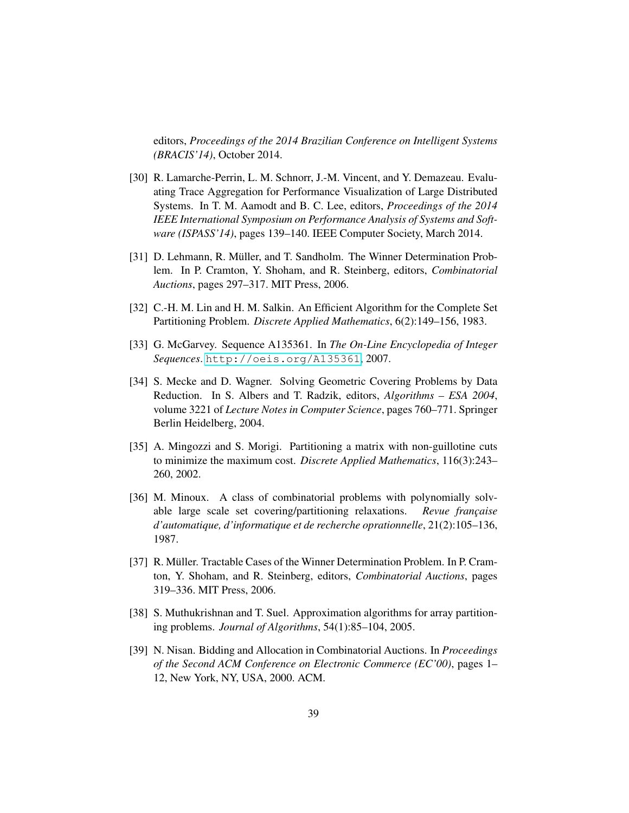<span id="page-40-14"></span><span id="page-40-13"></span><span id="page-40-12"></span><span id="page-40-11"></span><span id="page-40-10"></span>editors, *Proceedings of the 2014 Brazilian Conference on Intelligent Systems (BRACIS'14)*, October 2014.

- <span id="page-40-0"></span>[30] R. Lamarche-Perrin, L. M. Schnorr, J.-M. Vincent, and Y. Demazeau. Evaluating Trace Aggregation for Performance Visualization of Large Distributed Systems. In T. M. Aamodt and B. C. Lee, editors, *Proceedings of the 2014 IEEE International Symposium on Performance Analysis of Systems and Software (ISPASS'14)*, pages 139–140. IEEE Computer Society, March 2014.
- <span id="page-40-3"></span>[31] D. Lehmann, R. Müller, and T. Sandholm. The Winner Determination Problem. In P. Cramton, Y. Shoham, and R. Steinberg, editors, *Combinatorial Auctions*, pages 297–317. MIT Press, 2006.
- <span id="page-40-8"></span>[32] C.-H. M. Lin and H. M. Salkin. An Efficient Algorithm for the Complete Set Partitioning Problem. *Discrete Applied Mathematics*, 6(2):149–156, 1983.
- <span id="page-40-9"></span>[33] G. McGarvey. Sequence A135361. In *The On-Line Encyclopedia of Integer Sequences*. <http://oeis.org/A135361>, 2007.
- <span id="page-40-7"></span>[34] S. Mecke and D. Wagner. Solving Geometric Covering Problems by Data Reduction. In S. Albers and T. Radzik, editors, *Algorithms – ESA 2004*, volume 3221 of *Lecture Notes in Computer Science*, pages 760–771. Springer Berlin Heidelberg, 2004.
- <span id="page-40-2"></span>[35] A. Mingozzi and S. Morigi. Partitioning a matrix with non-guillotine cuts to minimize the maximum cost. *Discrete Applied Mathematics*, 116(3):243– 260, 2002.
- <span id="page-40-4"></span>[36] M. Minoux. A class of combinatorial problems with polynomially solvable large scale set covering/partitioning relaxations. *Revue française d'automatique, d'informatique et de recherche oprationnelle*, 21(2):105–136, 1987.
- <span id="page-40-5"></span>[37] R. Müller. Tractable Cases of the Winner Determination Problem. In P. Cramton, Y. Shoham, and R. Steinberg, editors, *Combinatorial Auctions*, pages 319–336. MIT Press, 2006.
- <span id="page-40-1"></span>[38] S. Muthukrishnan and T. Suel. Approximation algorithms for array partitioning problems. *Journal of Algorithms*, 54(1):85–104, 2005.
- <span id="page-40-6"></span>[39] N. Nisan. Bidding and Allocation in Combinatorial Auctions. In *Proceedings of the Second ACM Conference on Electronic Commerce (EC'00)*, pages 1– 12, New York, NY, USA, 2000. ACM.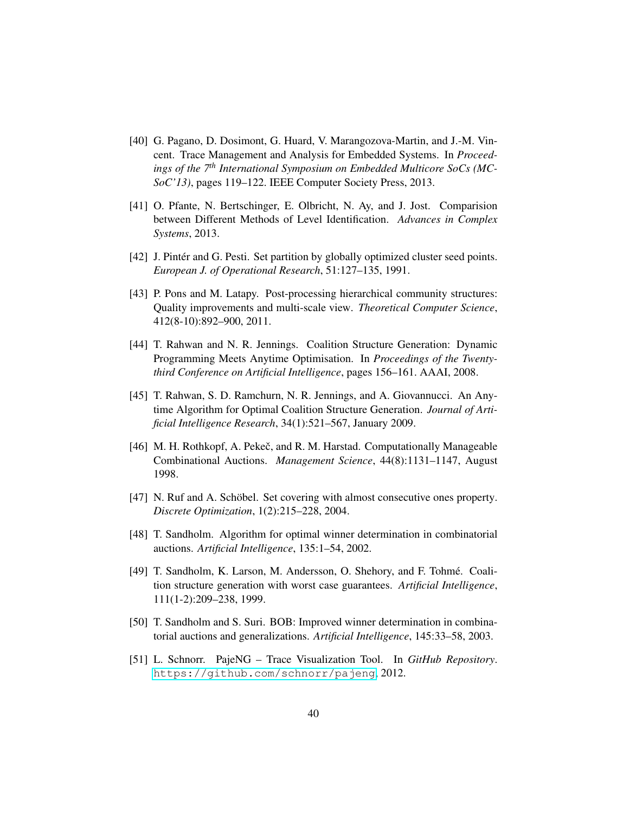- <span id="page-41-17"></span><span id="page-41-16"></span><span id="page-41-15"></span><span id="page-41-14"></span><span id="page-41-13"></span><span id="page-41-12"></span><span id="page-41-11"></span><span id="page-41-10"></span><span id="page-41-3"></span>[40] G. Pagano, D. Dosimont, G. Huard, V. Marangozova-Martin, and J.-M. Vincent. Trace Management and Analysis for Embedded Systems. In *Proceedings of the 7th International Symposium on Embedded Multicore SoCs (MC-SoC'13)*, pages 119–122. IEEE Computer Society Press, 2013.
- <span id="page-41-19"></span>[41] O. Pfante, N. Bertschinger, E. Olbricht, N. Ay, and J. Jost. Comparision between Different Methods of Level Identification. *Advances in Complex Systems*, 2013.
- <span id="page-41-8"></span>[42] J. Pinter and G. Pesti. Set partition by globally optimized cluster seed points. *European J. of Operational Research*, 51:127–135, 1991.
- <span id="page-41-4"></span>[43] P. Pons and M. Latapy. Post-processing hierarchical community structures: Quality improvements and multi-scale view. *Theoretical Computer Science*, 412(8-10):892–900, 2011.
- <span id="page-41-0"></span>[44] T. Rahwan and N. R. Jennings. Coalition Structure Generation: Dynamic Programming Meets Anytime Optimisation. In *Proceedings of the Twentythird Conference on Artificial Intelligence*, pages 156–161. AAAI, 2008.
- <span id="page-41-1"></span>[45] T. Rahwan, S. D. Ramchurn, N. R. Jennings, and A. Giovannucci. An Anytime Algorithm for Optimal Coalition Structure Generation. *Journal of Artificial Intelligence Research*, 34(1):521–567, January 2009.
- <span id="page-41-6"></span>[46] M. H. Rothkopf, A. Pekeč, and R. M. Harstad. Computationally Manageable Combinational Auctions. *Management Science*, 44(8):1131–1147, August 1998.
- <span id="page-41-9"></span>[47] N. Ruf and A. Schöbel. Set covering with almost consecutive ones property. *Discrete Optimization*, 1(2):215–228, 2004.
- <span id="page-41-7"></span>[48] T. Sandholm. Algorithm for optimal winner determination in combinatorial auctions. *Artificial Intelligence*, 135:1–54, 2002.
- <span id="page-41-2"></span>[49] T. Sandholm, K. Larson, M. Andersson, O. Shehory, and F. Tohme. Coali- ´ tion structure generation with worst case guarantees. *Artificial Intelligence*, 111(1-2):209–238, 1999.
- <span id="page-41-5"></span>[50] T. Sandholm and S. Suri. BOB: Improved winner determination in combinatorial auctions and generalizations. *Artificial Intelligence*, 145:33–58, 2003.
- <span id="page-41-18"></span>[51] L. Schnorr. PajeNG – Trace Visualization Tool. In *GitHub Repository*. <https://github.com/schnorr/pajeng>, 2012.